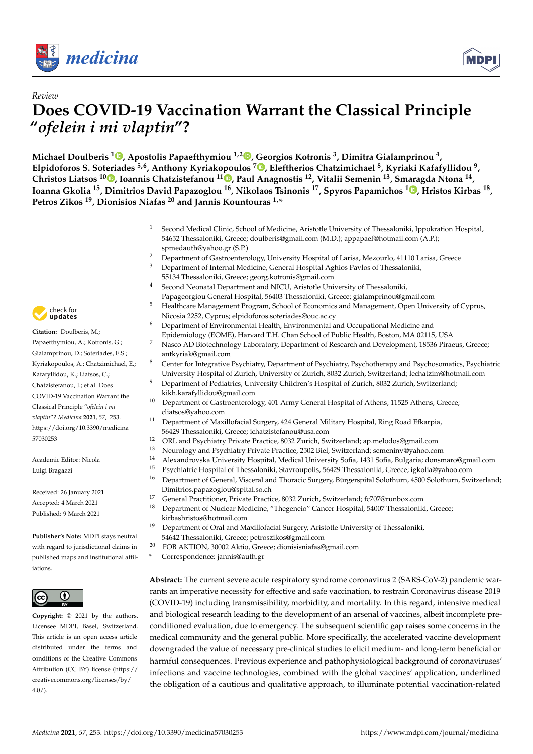

*Review*



# **Does COVID-19 Vaccination Warrant the Classical Principle "***ofelein i mi vlaptin***"?**

**Michael Doulberis <sup>1</sup> [,](https://orcid.org/0000-0002-0396-5081) Apostolis Papaefthymiou 1,2 [,](https://orcid.org/0000-0002-3563-4973) Georgios Kotronis <sup>3</sup> , Dimitra Gialamprinou <sup>4</sup> , Elpidoforos S. Soteriades 5,6, Anthony Kyriakopoulos <sup>7</sup> [,](https://orcid.org/0000-0002-0749-0060) Eleftherios Chatzimichael <sup>8</sup> , Kyriaki Kafafyllidou <sup>9</sup> , Christos Liatsos 1[0](https://orcid.org/0000-0001-8025-0808) , Ioannis Chatzistefanou <sup>11</sup> [,](https://orcid.org/0000-0001-7463-6106) Paul Anagnostis <sup>12</sup>, Vitalii Semenin <sup>13</sup>, Smaragda Ntona <sup>14</sup> , Ioanna Gkolia <sup>15</sup>, Dimitrios David Papazoglou <sup>16</sup>, Nikolaos Tsinonis <sup>17</sup>, Spyros Papamichos <sup>1</sup> [,](https://orcid.org/0000-0001-7119-0647) Hristos Kirbas <sup>18</sup> , Petros Zikos <sup>19</sup>, Dionisios Niafas <sup>20</sup> and Jannis Kountouras 1,\***

- <sup>1</sup> Second Medical Clinic, School of Medicine, Aristotle University of Thessaloniki, Ippokration Hospital, 54652 Thessaloniki, Greece; doulberis@gmail.com (M.D.); appapaef@hotmail.com (A.P.); spmedauth@yahoo.gr (S.P.)
- <sup>2</sup> Department of Gastroenterology, University Hospital of Larisa, Mezourlo, 41110 Larisa, Greece<br><sup>3</sup> Department of Internal Medicine, Coneral Hospital Agbios Paylos of Thessaleniki
- <sup>3</sup> Department of Internal Medicine, General Hospital Aghios Pavlos of Thessaloniki, 55134 Thessaloniki, Greece; georg.kotronis@gmail.com
- Second Neonatal Department and NICU, Aristotle University of Thessaloniki, Papageorgiou General Hospital, 56403 Thessaloniki, Greece; gialamprinou@gmail.com
- <sup>5</sup> Healthcare Management Program, School of Economics and Management, Open University of Cyprus, Nicosia 2252, Cyprus; elpidoforos.soteriades@ouc.ac.cy
- <sup>6</sup> Department of Environmental Health, Environmental and Occupational Medicine and Epidemiology (EOME), Harvard T.H. Chan School of Public Health, Boston, MA 02115, USA
- <sup>7</sup> Nasco AD Biotechnology Laboratory, Department of Research and Development, 18536 Piraeus, Greece; antkyriak@gmail.com
- <sup>8</sup> Center for Integrative Psychiatry, Department of Psychiatry, Psychotherapy and Psychosomatics, Psychiatric University Hospital of Zurich, University of Zurich, 8032 Zurich, Switzerland; lechatzim@hotmail.com
- <sup>9</sup> Department of Pediatrics, University Children's Hospital of Zurich, 8032 Zurich, Switzerland; kikh.karafyllidou@gmail.com
- <sup>10</sup> Department of Gastroenterology, 401 Army General Hospital of Athens, 11525 Athens, Greece; cliatsos@yahoo.com
- <sup>11</sup> Department of Maxillofacial Surgery, 424 General Military Hospital, Ring Road Efkarpia, 56429 Thessaloniki, Greece; ichatzistefanou@usa.com
- <sup>12</sup> ORL and Psychiatry Private Practice, 8032 Zurich, Switzerland; ap.melodos@gmail.com
- <sup>13</sup> Neurology and Psychiatry Private Practice, 2502 Biel, Switzerland; semeninv@yahoo.com
- <sup>14</sup> Alexandrovska University Hospital, Medical University Sofia, 1431 Sofia, Bulgaria; donsmaro@gmail.com
- <sup>15</sup> Psychiatric Hospital of Thessaloniki, Stavroupolis, 56429 Thessaloniki, Greece; igkolia@yahoo.com
- <sup>16</sup> Department of General, Visceral and Thoracic Surgery, Bürgerspital Solothurn, 4500 Solothurn, Switzerland; Dimitrios.papazoglou@spital.so.ch
- 17 General Practitioner, Private Practice, 8032 Zurich, Switzerland; fc707@runbox.com<br>18 Department of Nuclear Modisine "Theoensis" Cancer Hespital, 54007 Thessalepik
	- <sup>18</sup> Department of Nuclear Medicine, "Thegeneio" Cancer Hospital, 54007 Thessaloniki, Greece; kirbashristos@hotmail.com
- <sup>19</sup> Department of Oral and Maxillofacial Surgery, Aristotle University of Thessaloniki, 54642 Thessaloniki, Greece; petroszikos@gmail.com
- <sup>20</sup> FOB AKTION, 30002 Aktio, Greece; dionisisniafas@gmail.com
- **\*** Correspondence: jannis@auth.gr

**Abstract:** The current severe acute respiratory syndrome coronavirus 2 (SARS-CoV-2) pandemic warrants an imperative necessity for effective and safe vaccination, to restrain Coronavirus disease 2019 (COVID-19) including transmissibility, morbidity, and mortality. In this regard, intensive medical and biological research leading to the development of an arsenal of vaccines, albeit incomplete preconditioned evaluation, due to emergency. The subsequent scientific gap raises some concerns in the medical community and the general public. More specifically, the accelerated vaccine development downgraded the value of necessary pre-clinical studies to elicit medium- and long-term beneficial or harmful consequences. Previous experience and pathophysiological background of coronaviruses' infections and vaccine technologies, combined with the global vaccines' application, underlined the obligation of a cautious and qualitative approach, to illuminate potential vaccination-related



**Citation:** Doulberis, M.; Papaefthymiou, A.; Kotronis, G.; Gialamprinou, D.; Soteriades, E.S.; Kyriakopoulos, A.; Chatzimichael, E.; Kafafyllidou, K.; Liatsos, C.; Chatzistefanou, I.; et al. Does COVID-19 Vaccination Warrant the Classical Principle "*ofelein i mi vlaptin*"? *Medicina* **2021**, *57*, 253. [https://doi.org/10.3390/medicina](https://doi.org/10.3390/medicina57030253) [57030253](https://doi.org/10.3390/medicina57030253)

Academic Editor: Nicola Luigi Bragazzi

Received: 26 January 2021 Accepted: 4 March 2021 Published: 9 March 2021

**Publisher's Note:** MDPI stays neutral with regard to jurisdictional claims in published maps and institutional affiliations.



**Copyright:** © 2021 by the authors. Licensee MDPI, Basel, Switzerland. This article is an open access article distributed under the terms and conditions of the Creative Commons Attribution (CC BY) license (https:/[/](https://creativecommons.org/licenses/by/4.0/) [creativecommons.org/licenses/by/](https://creativecommons.org/licenses/by/4.0/) 4.0/).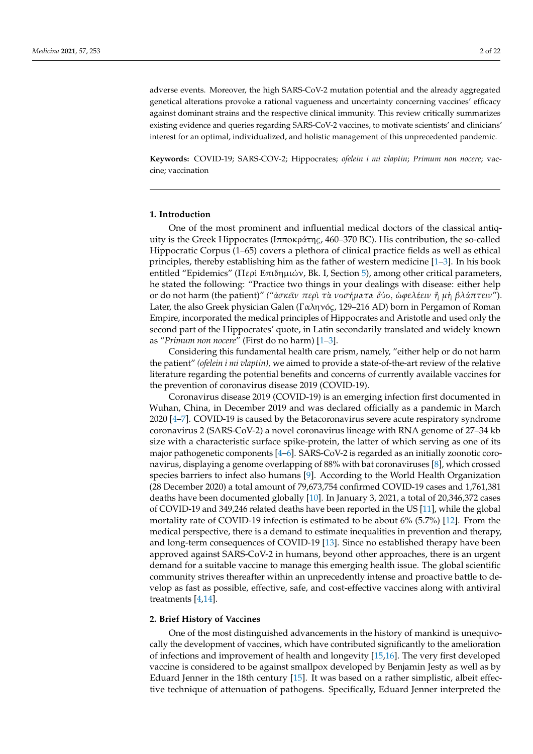adverse events. Moreover, the high SARS-CoV-2 mutation potential and the already aggregated genetical alterations provoke a rational vagueness and uncertainty concerning vaccines' efficacy against dominant strains and the respective clinical immunity. This review critically summarizes existing evidence and queries regarding SARS-CoV-2 vaccines, to motivate scientists' and clinicians' interest for an optimal, individualized, and holistic management of this unprecedented pandemic.

**Keywords:** COVID-19; SARS-COV-2; Hippocrates; *ofelein i mi vlaptin*; *Primum non nocere*; vaccine; vaccination

## **1. Introduction**

One of the most prominent and influential medical doctors of the classical antiquity is the Greek Hippocrates (Iππoκράτη*ς*, 460–370 BC). His contribution, the so-called Hippocratic Corpus (1–65) covers a plethora of clinical practice fields as well as ethical principles, thereby establishing him as the father of western medicine [\[1](#page-15-0)[–3\]](#page-15-1). In his book entitled "Epidemics" (Περί Επιδηµιών, Bk. I, Section [5\)](#page-15-2), among other critical parameters, he stated the following: "Practice two things in your dealings with disease: either help or do not harm (the patient)" *(*"ἀ*σκε*ῖ*ν περ*ὶ *τ*ὰ *ν*ο*σ*ή*µατα δ*ύο, ὠ*ϕελ*έ*ειν* ἢ *µ*ὴ *βλ*ά*πτειν*"). Later, the also Greek physician Galen (Γαληνó*ς*, 129–216 AD) born in Pergamon of Roman Empire, incorporated the medical principles of Hippocrates and Aristotle and used only the second part of the Hippocrates' quote, in Latin secondarily translated and widely known as "*Primum non nocere*" (First do no harm) [\[1](#page-15-0)[–3\]](#page-15-1).

Considering this fundamental health care prism, namely, "either help or do not harm the patient" *(ofelein i mi vlaptin),* we aimed to provide a state-of-the-art review of the relative literature regarding the potential benefits and concerns of currently available vaccines for the prevention of coronavirus disease 2019 (COVID-19).

Coronavirus disease 2019 (COVID-19) is an emerging infection first documented in Wuhan, China, in December 2019 and was declared officially as a pandemic in March 2020 [\[4–](#page-15-3)[7\]](#page-15-4). COVID-19 is caused by the Betacoronavirus severe acute respiratory syndrome coronavirus 2 (SARS-CoV-2) a novel coronavirus lineage with RNA genome of 27–34 kb size with a characteristic surface spike-protein, the latter of which serving as one of its major pathogenetic components [\[4](#page-15-3)[–6\]](#page-15-5). SARS-CoV-2 is regarded as an initially zoonotic coronavirus, displaying a genome overlapping of 88% with bat coronaviruses [\[8\]](#page-16-0), which crossed species barriers to infect also humans [\[9\]](#page-16-1). According to the World Health Organization (28 December 2020) a total amount of 79,673,754 confirmed COVID-19 cases and 1,761,381 deaths have been documented globally [\[10\]](#page-16-2). In January 3, 2021, a total of 20,346,372 cases of COVID-19 and 349,246 related deaths have been reported in the US [\[11\]](#page-16-3), while the global mortality rate of COVID-19 infection is estimated to be about 6% (5.7%) [\[12\]](#page-16-4). From the medical perspective, there is a demand to estimate inequalities in prevention and therapy, and long-term consequences of COVID-19 [\[13\]](#page-16-5). Since no established therapy have been approved against SARS-CoV-2 in humans, beyond other approaches, there is an urgent demand for a suitable vaccine to manage this emerging health issue. The global scientific community strives thereafter within an unprecedently intense and proactive battle to develop as fast as possible, effective, safe, and cost-effective vaccines along with antiviral treatments [\[4](#page-15-3)[,14\]](#page-16-6).

#### **2. Brief History of Vaccines**

One of the most distinguished advancements in the history of mankind is unequivocally the development of vaccines, which have contributed significantly to the amelioration of infections and improvement of health and longevity [\[15,](#page-16-7)[16\]](#page-16-8). The very first developed vaccine is considered to be against smallpox developed by Benjamin Jesty as well as by Eduard Jenner in the 18th century [\[15\]](#page-16-7). It was based on a rather simplistic, albeit effective technique of attenuation of pathogens. Specifically, Eduard Jenner interpreted the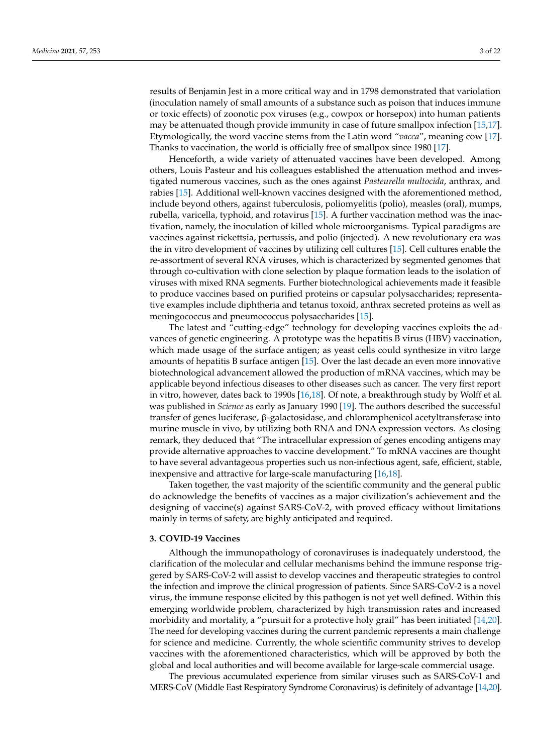results of Benjamin Jest in a more critical way and in 1798 demonstrated that variolation (inoculation namely of small amounts of a substance such as poison that induces immune or toxic effects) of zoonotic pox viruses (e.g., cowpox or horsepox) into human patients may be attenuated though provide immunity in case of future smallpox infection [\[15,](#page-16-7)[17\]](#page-16-9). Etymologically, the word vaccine stems from the Latin word "*vacca*", meaning cow [\[17\]](#page-16-9). Thanks to vaccination, the world is officially free of smallpox since 1980 [\[17\]](#page-16-9).

Henceforth, a wide variety of attenuated vaccines have been developed. Among others, Louis Pasteur and his colleagues established the attenuation method and investigated numerous vaccines, such as the ones against *Pasteurella multocida*, anthrax, and rabies [\[15\]](#page-16-7). Additional well-known vaccines designed with the aforementioned method, include beyond others, against tuberculosis, poliomyelitis (polio), measles (oral), mumps, rubella, varicella, typhoid, and rotavirus [\[15\]](#page-16-7). A further vaccination method was the inactivation, namely, the inoculation of killed whole microorganisms. Typical paradigms are vaccines against rickettsia, pertussis, and polio (injected). A new revolutionary era was the in vitro development of vaccines by utilizing cell cultures [\[15\]](#page-16-7). Cell cultures enable the re-assortment of several RNA viruses, which is characterized by segmented genomes that through co-cultivation with clone selection by plaque formation leads to the isolation of viruses with mixed RNA segments. Further biotechnological achievements made it feasible to produce vaccines based on purified proteins or capsular polysaccharides; representative examples include diphtheria and tetanus toxoid, anthrax secreted proteins as well as meningococcus and pneumococcus polysaccharides [\[15\]](#page-16-7).

The latest and "cutting-edge" technology for developing vaccines exploits the advances of genetic engineering. A prototype was the hepatitis B virus (HBV) vaccination, which made usage of the surface antigen; as yeast cells could synthesize in vitro large amounts of hepatitis B surface antigen [\[15\]](#page-16-7). Over the last decade an even more innovative biotechnological advancement allowed the production of mRNA vaccines, which may be applicable beyond infectious diseases to other diseases such as cancer. The very first report in vitro, however, dates back to 1990s [\[16,](#page-16-8)[18\]](#page-16-10). Of note, a breakthrough study by Wolff et al. was published in *Science* as early as January 1990 [\[19\]](#page-16-11). The authors described the successful transfer of genes luciferase, β-galactosidase, and chloramphenicol acetyltransferase into murine muscle in vivo, by utilizing both RNA and DNA expression vectors. As closing remark, they deduced that "The intracellular expression of genes encoding antigens may provide alternative approaches to vaccine development." To mRNA vaccines are thought to have several advantageous properties such us non-infectious agent, safe, efficient, stable, inexpensive and attractive for large-scale manufacturing [\[16](#page-16-8)[,18\]](#page-16-10).

Taken together, the vast majority of the scientific community and the general public do acknowledge the benefits of vaccines as a major civilization's achievement and the designing of vaccine(s) against SARS-CoV-2, with proved efficacy without limitations mainly in terms of safety, are highly anticipated and required.

#### **3. COVID-19 Vaccines**

Although the immunopathology of coronaviruses is inadequately understood, the clarification of the molecular and cellular mechanisms behind the immune response triggered by SARS-CoV-2 will assist to develop vaccines and therapeutic strategies to control the infection and improve the clinical progression of patients. Since SARS-CoV-2 is a novel virus, the immune response elicited by this pathogen is not yet well defined. Within this emerging worldwide problem, characterized by high transmission rates and increased morbidity and mortality, a "pursuit for a protective holy grail" has been initiated [\[14,](#page-16-6)[20\]](#page-16-12). The need for developing vaccines during the current pandemic represents a main challenge for science and medicine. Currently, the whole scientific community strives to develop vaccines with the aforementioned characteristics, which will be approved by both the global and local authorities and will become available for large-scale commercial usage.

The previous accumulated experience from similar viruses such as SARS-CoV-1 and MERS-CoV (Middle East Respiratory Syndrome Coronavirus) is definitely of advantage [\[14,](#page-16-6)[20\]](#page-16-12).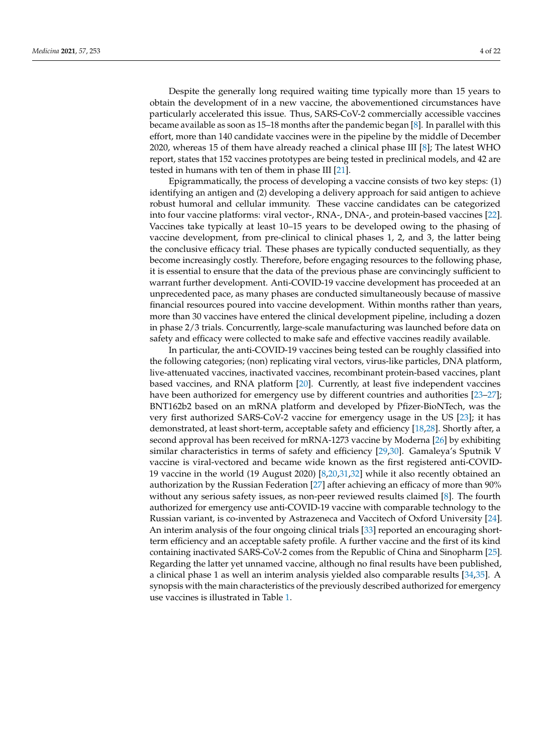Despite the generally long required waiting time typically more than 15 years to obtain the development of in a new vaccine, the abovementioned circumstances have particularly accelerated this issue. Thus, SARS-CoV-2 commercially accessible vaccines became available as soon as 15–18 months after the pandemic began [\[8\]](#page-16-0). In parallel with this effort, more than 140 candidate vaccines were in the pipeline by the middle of December 2020, whereas 15 of them have already reached a clinical phase III [\[8\]](#page-16-0); The latest WHO report, states that 152 vaccines prototypes are being tested in preclinical models, and 42 are tested in humans with ten of them in phase III [\[21\]](#page-16-13).

Epigrammatically, the process of developing a vaccine consists of two key steps: (1) identifying an antigen and (2) developing a delivery approach for said antigen to achieve robust humoral and cellular immunity. These vaccine candidates can be categorized into four vaccine platforms: viral vector-, RNA-, DNA-, and protein-based vaccines [\[22\]](#page-16-14). Vaccines take typically at least 10–15 years to be developed owing to the phasing of vaccine development, from pre-clinical to clinical phases 1, 2, and 3, the latter being the conclusive efficacy trial. These phases are typically conducted sequentially, as they become increasingly costly. Therefore, before engaging resources to the following phase, it is essential to ensure that the data of the previous phase are convincingly sufficient to warrant further development. Anti-COVID-19 vaccine development has proceeded at an unprecedented pace, as many phases are conducted simultaneously because of massive financial resources poured into vaccine development. Within months rather than years, more than 30 vaccines have entered the clinical development pipeline, including a dozen in phase 2/3 trials. Concurrently, large-scale manufacturing was launched before data on safety and efficacy were collected to make safe and effective vaccines readily available.

In particular, the anti-COVID-19 vaccines being tested can be roughly classified into the following categories; (non) replicating viral vectors, virus-like particles, DNA platform, live-attenuated vaccines, inactivated vaccines, recombinant protein-based vaccines, plant based vaccines, and RNA platform [\[20\]](#page-16-12). Currently, at least five independent vaccines have been authorized for emergency use by different countries and authorities [\[23–](#page-16-15)[27\]](#page-16-16); BNT162b2 based on an mRNA platform and developed by Pfizer-BioNTech, was the very first authorized SARS-CoV-2 vaccine for emergency usage in the US [\[23\]](#page-16-15); it has demonstrated, at least short-term, acceptable safety and efficiency [\[18,](#page-16-10)[28\]](#page-16-17). Shortly after, a second approval has been received for mRNA-1273 vaccine by Moderna [\[26\]](#page-16-18) by exhibiting similar characteristics in terms of safety and efficiency [\[29](#page-16-19)[,30\]](#page-16-20). Gamaleya's Sputnik V vaccine is viral-vectored and became wide known as the first registered anti-COVID-19 vaccine in the world (19 August 2020) [\[8](#page-16-0)[,20](#page-16-12)[,31](#page-16-21)[,32\]](#page-16-22) while it also recently obtained an authorization by the Russian Federation [\[27\]](#page-16-16) after achieving an efficacy of more than 90% without any serious safety issues, as non-peer reviewed results claimed [\[8\]](#page-16-0). The fourth authorized for emergency use anti-COVID-19 vaccine with comparable technology to the Russian variant, is co-invented by Astrazeneca and Vaccitech of Oxford University [\[24\]](#page-16-23). An interim analysis of the four ongoing clinical trials [\[33\]](#page-16-24) reported an encouraging shortterm efficiency and an acceptable safety profile. A further vaccine and the first of its kind containing inactivated SARS-CoV-2 comes from the Republic of China and Sinopharm [\[25\]](#page-16-25). Regarding the latter yet unnamed vaccine, although no final results have been published, a clinical phase 1 as well an interim analysis yielded also comparable results [\[34,](#page-16-26)[35\]](#page-17-0). A synopsis with the main characteristics of the previously described authorized for emergency use vaccines is illustrated in Table [1.](#page-4-0)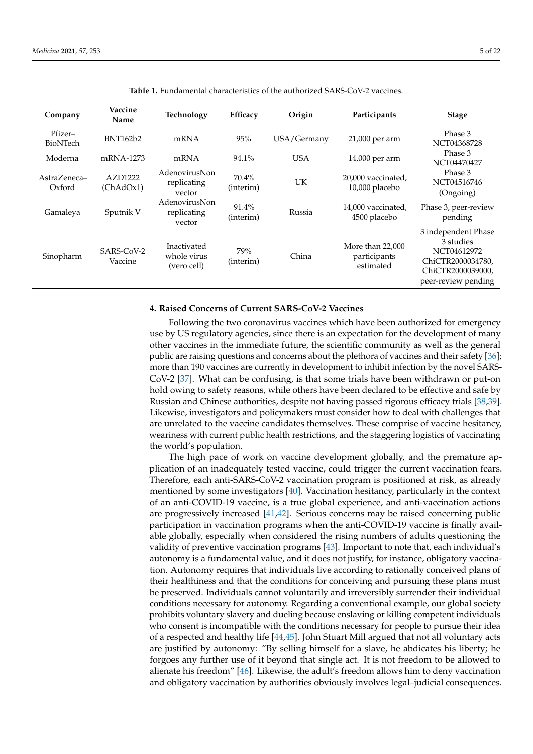<span id="page-4-0"></span>

| Company                | Vaccine<br>Name       | Technology                                | <b>Efficacy</b>    | Origin      | Participants                                  | <b>Stage</b>                                                                                                     |
|------------------------|-----------------------|-------------------------------------------|--------------------|-------------|-----------------------------------------------|------------------------------------------------------------------------------------------------------------------|
| Pfizer-<br>BioNTech    | <b>BNT162b2</b>       | mRNA                                      | 95%                | USA/Germany | 21,000 per arm                                | Phase 3<br>NCT04368728                                                                                           |
| Moderna                | mRNA-1273             | mRNA                                      | 94.1%              | <b>USA</b>  | 14,000 per arm                                | Phase 3<br>NCT04470427                                                                                           |
| AstraZeneca-<br>Oxford | AZD1222<br>(ChAdOx1)  | AdenovirusNon<br>replicating<br>vector    | 70.4%<br>(interim) | UK          | 20,000 vaccinated,<br>10,000 placebo          | Phase 3<br>NCT04516746<br>(Ongoing)                                                                              |
| Gamaleya               | Sputnik V             | AdenovirusNon<br>replicating<br>vector    | 91.4%<br>(interim) | Russia      | 14,000 vaccinated,<br>4500 placebo            | Phase 3, peer-review<br>pending                                                                                  |
| Sinopharm              | SARS-CoV-2<br>Vaccine | Inactivated<br>whole virus<br>(vero cell) | 79%<br>(interim)   | China       | More than 22,000<br>participants<br>estimated | 3 independent Phase<br>3 studies<br>NCT04612972<br>ChiCTR2000034780,<br>ChiCTR2000039000,<br>peer-review pending |

**Table 1.** Fundamental characteristics of the authorized SARS-CoV-2 vaccines.

## **4. Raised Concerns of Current SARS-CoV-2 Vaccines**

Following the two coronavirus vaccines which have been authorized for emergency use by US regulatory agencies, since there is an expectation for the development of many other vaccines in the immediate future, the scientific community as well as the general public are raising questions and concerns about the plethora of vaccines and their safety [\[36\]](#page-17-1); more than 190 vaccines are currently in development to inhibit infection by the novel SARS-CoV-2 [\[37\]](#page-17-2). What can be confusing, is that some trials have been withdrawn or put-on hold owing to safety reasons, while others have been declared to be effective and safe by Russian and Chinese authorities, despite not having passed rigorous efficacy trials [\[38](#page-17-3)[,39\]](#page-17-4). Likewise, investigators and policymakers must consider how to deal with challenges that are unrelated to the vaccine candidates themselves. These comprise of vaccine hesitancy, weariness with current public health restrictions, and the staggering logistics of vaccinating the world's population.

The high pace of work on vaccine development globally, and the premature application of an inadequately tested vaccine, could trigger the current vaccination fears. Therefore, each anti-SARS-CoV-2 vaccination program is positioned at risk, as already mentioned by some investigators [\[40\]](#page-17-5). Vaccination hesitancy, particularly in the context of an anti-COVID-19 vaccine, is a true global experience, and anti-vaccination actions are progressively increased [\[41](#page-17-6)[,42\]](#page-17-7). Serious concerns may be raised concerning public participation in vaccination programs when the anti-COVID-19 vaccine is finally available globally, especially when considered the rising numbers of adults questioning the validity of preventive vaccination programs [\[43\]](#page-17-8). Important to note that, each individual's autonomy is a fundamental value, and it does not justify, for instance, obligatory vaccination. Autonomy requires that individuals live according to rationally conceived plans of their healthiness and that the conditions for conceiving and pursuing these plans must be preserved. Individuals cannot voluntarily and irreversibly surrender their individual conditions necessary for autonomy. Regarding a conventional example, our global society prohibits voluntary slavery and dueling because enslaving or killing competent individuals who consent is incompatible with the conditions necessary for people to pursue their idea of a respected and healthy life [\[44](#page-17-9)[,45\]](#page-17-10). John Stuart Mill argued that not all voluntary acts are justified by autonomy: "By selling himself for a slave, he abdicates his liberty; he forgoes any further use of it beyond that single act. It is not freedom to be allowed to alienate his freedom" [\[46\]](#page-17-11). Likewise, the adult's freedom allows him to deny vaccination and obligatory vaccination by authorities obviously involves legal–judicial consequences.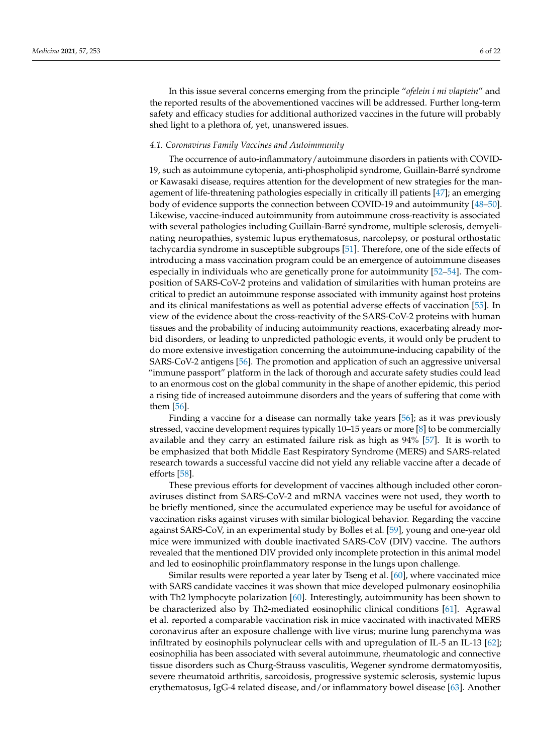In this issue several concerns emerging from the principle "*ofelein i mi vlaptein*" and the reported results of the abovementioned vaccines will be addressed. Further long-term safety and efficacy studies for additional authorized vaccines in the future will probably shed light to a plethora of, yet, unanswered issues.

## *4.1. Coronavirus Family Vaccines and Autoimmunity*

The occurrence of auto-inflammatory/autoimmune disorders in patients with COVID-19, such as autoimmune cytopenia, anti-phospholipid syndrome, Guillain-Barré syndrome or Kawasaki disease, requires attention for the development of new strategies for the management of life-threatening pathologies especially in critically ill patients [\[47\]](#page-17-12); an emerging body of evidence supports the connection between COVID-19 and autoimmunity [\[48](#page-17-13)[–50\]](#page-17-14). Likewise, vaccine-induced autoimmunity from autoimmune cross-reactivity is associated with several pathologies including Guillain-Barré syndrome, multiple sclerosis, demyelinating neuropathies, systemic lupus erythematosus, narcolepsy, or postural orthostatic tachycardia syndrome in susceptible subgroups [\[51\]](#page-17-15). Therefore, one of the side effects of introducing a mass vaccination program could be an emergence of autoimmune diseases especially in individuals who are genetically prone for autoimmunity [\[52–](#page-17-16)[54\]](#page-17-17). The composition of SARS-CoV-2 proteins and validation of similarities with human proteins are critical to predict an autoimmune response associated with immunity against host proteins and its clinical manifestations as well as potential adverse effects of vaccination [\[55\]](#page-17-18). In view of the evidence about the cross-reactivity of the SARS-CoV-2 proteins with human tissues and the probability of inducing autoimmunity reactions, exacerbating already morbid disorders, or leading to unpredicted pathologic events, it would only be prudent to do more extensive investigation concerning the autoimmune-inducing capability of the SARS-CoV-2 antigens [\[56\]](#page-17-19). The promotion and application of such an aggressive universal "immune passport" platform in the lack of thorough and accurate safety studies could lead to an enormous cost on the global community in the shape of another epidemic, this period a rising tide of increased autoimmune disorders and the years of suffering that come with them [\[56\]](#page-17-19).

Finding a vaccine for a disease can normally take years [\[56\]](#page-17-19); as it was previously stressed, vaccine development requires typically 10–15 years or more [\[8\]](#page-16-0) to be commercially available and they carry an estimated failure risk as high as 94% [\[57\]](#page-17-20). It is worth to be emphasized that both Middle East Respiratory Syndrome (MERS) and SARS-related research towards a successful vaccine did not yield any reliable vaccine after a decade of efforts [\[58\]](#page-17-21).

These previous efforts for development of vaccines although included other coronaviruses distinct from SARS-CoV-2 and mRNA vaccines were not used, they worth to be briefly mentioned, since the accumulated experience may be useful for avoidance of vaccination risks against viruses with similar biological behavior. Regarding the vaccine against SARS-CoV, in an experimental study by Bolles et al. [\[59\]](#page-17-22), young and one-year old mice were immunized with double inactivated SARS-CoV (DIV) vaccine. The authors revealed that the mentioned DIV provided only incomplete protection in this animal model and led to eosinophilic proinflammatory response in the lungs upon challenge.

Similar results were reported a year later by Tseng et al. [\[60\]](#page-17-23), where vaccinated mice with SARS candidate vaccines it was shown that mice developed pulmonary eosinophilia with Th2 lymphocyte polarization [\[60\]](#page-17-23). Interestingly, autoimmunity has been shown to be characterized also by Th2-mediated eosinophilic clinical conditions [\[61\]](#page-17-24). Agrawal et al. reported a comparable vaccination risk in mice vaccinated with inactivated MERS coronavirus after an exposure challenge with live virus; murine lung parenchyma was infiltrated by eosinophils polynuclear cells with and upregulation of IL-5 an IL-13 [\[62\]](#page-18-0); eosinophilia has been associated with several autoimmune, rheumatologic and connective tissue disorders such as Churg-Strauss vasculitis, Wegener syndrome dermatomyositis, severe rheumatoid arthritis, sarcoidosis, progressive systemic sclerosis, systemic lupus erythematosus, IgG-4 related disease, and/or inflammatory bowel disease [\[63\]](#page-18-1). Another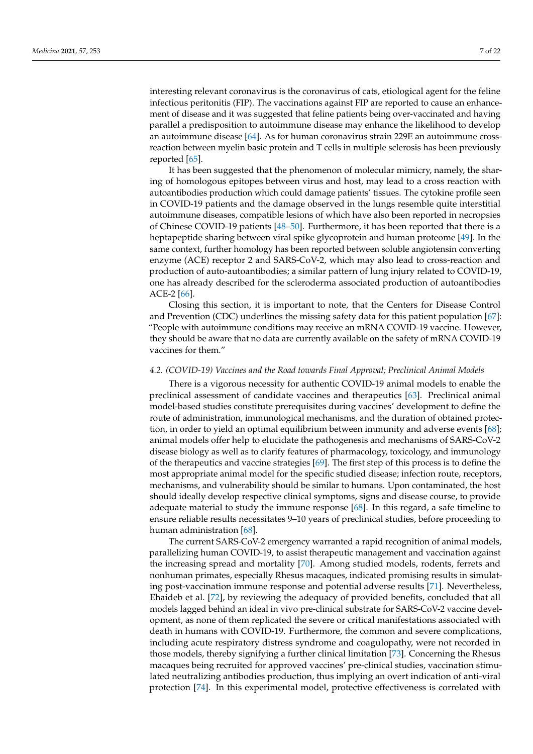interesting relevant coronavirus is the coronavirus of cats, etiological agent for the feline infectious peritonitis (FIP). The vaccinations against FIP are reported to cause an enhancement of disease and it was suggested that feline patients being over-vaccinated and having parallel a predisposition to autoimmune disease may enhance the likelihood to develop an autoimmune disease [\[64\]](#page-18-2). As for human coronavirus strain 229E an autoimmune crossreaction between myelin basic protein and T cells in multiple sclerosis has been previously reported [\[65\]](#page-18-3).

It has been suggested that the phenomenon of molecular mimicry, namely, the sharing of homologous epitopes between virus and host, may lead to a cross reaction with autoantibodies production which could damage patients' tissues. The cytokine profile seen in COVID-19 patients and the damage observed in the lungs resemble quite interstitial autoimmune diseases, compatible lesions of which have also been reported in necropsies of Chinese COVID-19 patients [\[48–](#page-17-13)[50\]](#page-17-14). Furthermore, it has been reported that there is a heptapeptide sharing between viral spike glycoprotein and human proteome [\[49\]](#page-17-25). In the same context, further homology has been reported between soluble angiotensin converting enzyme (ACE) receptor 2 and SARS-CoV-2, which may also lead to cross-reaction and production of auto-autoantibodies; a similar pattern of lung injury related to COVID-19, one has already described for the scleroderma associated production of autoantibodies ACE-2 [\[66\]](#page-18-4).

Closing this section, it is important to note, that the Centers for Disease Control and Prevention (CDC) underlines the missing safety data for this patient population [\[67\]](#page-18-5): "People with autoimmune conditions may receive an mRNA COVID-19 vaccine. However, they should be aware that no data are currently available on the safety of mRNA COVID-19 vaccines for them."

#### *4.2. (COVID-19) Vaccines and the Road towards Final Approval; Preclinical Animal Models*

There is a vigorous necessity for authentic COVID-19 animal models to enable the preclinical assessment of candidate vaccines and therapeutics [\[63\]](#page-18-1). Preclinical animal model-based studies constitute prerequisites during vaccines' development to define the route of administration, immunological mechanisms, and the duration of obtained protection, in order to yield an optimal equilibrium between immunity and adverse events [\[68\]](#page-18-6); animal models offer help to elucidate the pathogenesis and mechanisms of SARS-CoV-2 disease biology as well as to clarify features of pharmacology, toxicology, and immunology of the therapeutics and vaccine strategies [\[69\]](#page-18-7). The first step of this process is to define the most appropriate animal model for the specific studied disease; infection route, receptors, mechanisms, and vulnerability should be similar to humans. Upon contaminated, the host should ideally develop respective clinical symptoms, signs and disease course, to provide adequate material to study the immune response [\[68\]](#page-18-6). In this regard, a safe timeline to ensure reliable results necessitates 9–10 years of preclinical studies, before proceeding to human administration [\[68\]](#page-18-6).

The current SARS-CoV-2 emergency warranted a rapid recognition of animal models, parallelizing human COVID-19, to assist therapeutic management and vaccination against the increasing spread and mortality [\[70\]](#page-18-8). Among studied models, rodents, ferrets and nonhuman primates, especially Rhesus macaques, indicated promising results in simulating post-vaccination immune response and potential adverse results [\[71\]](#page-18-9). Nevertheless, Ehaideb et al. [\[72\]](#page-18-10), by reviewing the adequacy of provided benefits, concluded that all models lagged behind an ideal in vivo pre-clinical substrate for SARS-CoV-2 vaccine development, as none of them replicated the severe or critical manifestations associated with death in humans with COVID-19. Furthermore, the common and severe complications, including acute respiratory distress syndrome and coagulopathy, were not recorded in those models, thereby signifying a further clinical limitation [\[73\]](#page-18-11). Concerning the Rhesus macaques being recruited for approved vaccines' pre-clinical studies, vaccination stimulated neutralizing antibodies production, thus implying an overt indication of anti-viral protection [\[74\]](#page-18-12). In this experimental model, protective effectiveness is correlated with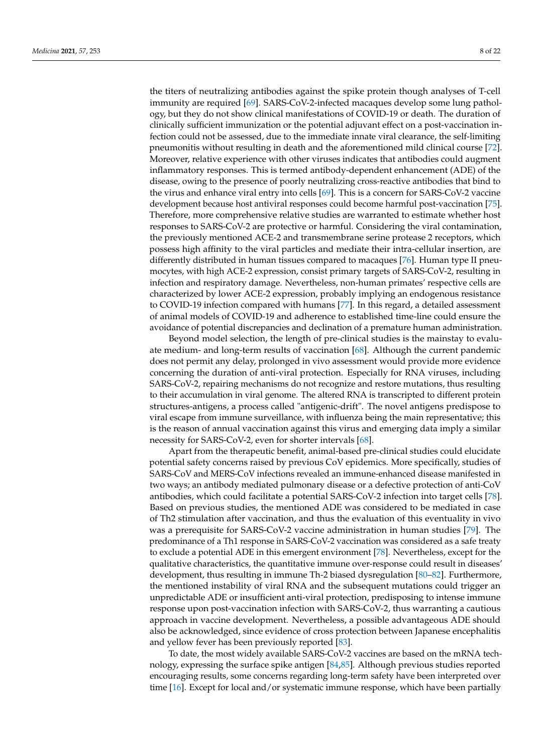the titers of neutralizing antibodies against the spike protein though analyses of T-cell immunity are required [\[69\]](#page-18-7). SARS-CoV-2-infected macaques develop some lung pathology, but they do not show clinical manifestations of COVID-19 or death. The duration of clinically sufficient immunization or the potential adjuvant effect on a post-vaccination infection could not be assessed, due to the immediate innate viral clearance, the self-limiting pneumonitis without resulting in death and the aforementioned mild clinical course [\[72\]](#page-18-10). Moreover, relative experience with other viruses indicates that antibodies could augment inflammatory responses. This is termed antibody-dependent enhancement (ADE) of the disease, owing to the presence of poorly neutralizing cross-reactive antibodies that bind to the virus and enhance viral entry into cells [\[69\]](#page-18-7). This is a concern for SARS-CoV-2 vaccine development because host antiviral responses could become harmful post-vaccination [\[75\]](#page-18-13). Therefore, more comprehensive relative studies are warranted to estimate whether host responses to SARS-CoV-2 are protective or harmful. Considering the viral contamination, the previously mentioned ACE-2 and transmembrane serine protease 2 receptors, which possess high affinity to the viral particles and mediate their intra-cellular insertion, are differently distributed in human tissues compared to macaques [\[76\]](#page-18-14). Human type II pneumocytes, with high ACE-2 expression, consist primary targets of SARS-CoV-2, resulting in infection and respiratory damage. Nevertheless, non-human primates' respective cells are characterized by lower ACE-2 expression, probably implying an endogenous resistance to COVID-19 infection compared with humans [\[77\]](#page-18-15). In this regard, a detailed assessment of animal models of COVID-19 and adherence to established time-line could ensure the avoidance of potential discrepancies and declination of a premature human administration.

Beyond model selection, the length of pre-clinical studies is the mainstay to evaluate medium- and long-term results of vaccination [\[68\]](#page-18-6). Although the current pandemic does not permit any delay, prolonged in vivo assessment would provide more evidence concerning the duration of anti-viral protection. Especially for RNA viruses, including SARS-CoV-2, repairing mechanisms do not recognize and restore mutations, thus resulting to their accumulation in viral genome. The altered RNA is transcripted to different protein structures-antigens, a process called "antigenic-drift". The novel antigens predispose to viral escape from immune surveillance, with influenza being the main representative; this is the reason of annual vaccination against this virus and emerging data imply a similar necessity for SARS-CoV-2, even for shorter intervals [\[68\]](#page-18-6).

Apart from the therapeutic benefit, animal-based pre-clinical studies could elucidate potential safety concerns raised by previous CoV epidemics. More specifically, studies of SARS-CoV and MERS-CoV infections revealed an immune-enhanced disease manifested in two ways; an antibody mediated pulmonary disease or a defective protection of anti-CoV antibodies, which could facilitate a potential SARS-CoV-2 infection into target cells [\[78\]](#page-18-16). Based on previous studies, the mentioned ADE was considered to be mediated in case of Th2 stimulation after vaccination, and thus the evaluation of this eventuality in vivo was a prerequisite for SARS-CoV-2 vaccine administration in human studies [\[79\]](#page-18-17). The predominance of a Th1 response in SARS-CoV-2 vaccination was considered as a safe treaty to exclude a potential ADE in this emergent environment [\[78\]](#page-18-16). Nevertheless, except for the qualitative characteristics, the quantitative immune over-response could result in diseases' development, thus resulting in immune Th-2 biased dysregulation [\[80–](#page-18-18)[82\]](#page-18-19). Furthermore, the mentioned instability of viral RNA and the subsequent mutations could trigger an unpredictable ADE or insufficient anti-viral protection, predisposing to intense immune response upon post-vaccination infection with SARS-CoV-2, thus warranting a cautious approach in vaccine development. Nevertheless, a possible advantageous ADE should also be acknowledged, since evidence of cross protection between Japanese encephalitis and yellow fever has been previously reported [\[83\]](#page-18-20).

To date, the most widely available SARS-CoV-2 vaccines are based on the mRNA technology, expressing the surface spike antigen [\[84](#page-18-21)[,85\]](#page-18-22). Although previous studies reported encouraging results, some concerns regarding long-term safety have been interpreted over time [\[16\]](#page-16-8). Except for local and/or systematic immune response, which have been partially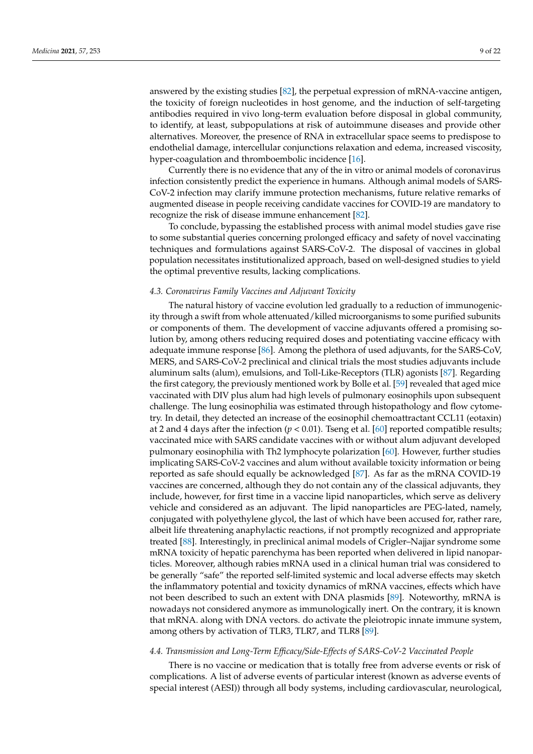answered by the existing studies [\[82\]](#page-18-19), the perpetual expression of mRNA-vaccine antigen, the toxicity of foreign nucleotides in host genome, and the induction of self-targeting antibodies required in vivo long-term evaluation before disposal in global community, to identify, at least, subpopulations at risk of autoimmune diseases and provide other alternatives. Moreover, the presence of RNA in extracellular space seems to predispose to endothelial damage, intercellular conjunctions relaxation and edema, increased viscosity, hyper-coagulation and thromboembolic incidence [\[16\]](#page-16-8).

Currently there is no evidence that any of the in vitro or animal models of coronavirus infection consistently predict the experience in humans. Although animal models of SARS-CoV-2 infection may clarify immune protection mechanisms, future relative remarks of augmented disease in people receiving candidate vaccines for COVID-19 are mandatory to recognize the risk of disease immune enhancement [\[82\]](#page-18-19).

To conclude, bypassing the established process with animal model studies gave rise to some substantial queries concerning prolonged efficacy and safety of novel vaccinating techniques and formulations against SARS-CoV-2. The disposal of vaccines in global population necessitates institutionalized approach, based on well-designed studies to yield the optimal preventive results, lacking complications.

### *4.3. Coronavirus Family Vaccines and Adjuvant Toxicity*

The natural history of vaccine evolution led gradually to a reduction of immunogenicity through a swift from whole attenuated/killed microorganisms to some purified subunits or components of them. The development of vaccine adjuvants offered a promising solution by, among others reducing required doses and potentiating vaccine efficacy with adequate immune response [\[86\]](#page-18-23). Among the plethora of used adjuvants, for the SARS-CoV, MERS, and SARS-CoV-2 preclinical and clinical trials the most studies adjuvants include aluminum salts (alum), emulsions, and Toll-Like-Receptors (TLR) agonists [\[87\]](#page-18-24). Regarding the first category, the previously mentioned work by Bolle et al. [\[59\]](#page-17-22) revealed that aged mice vaccinated with DIV plus alum had high levels of pulmonary eosinophils upon subsequent challenge. The lung eosinophilia was estimated through histopathology and flow cytometry. In detail, they detected an increase of the eosinophil chemoattractant CCL11 (eotaxin) at 2 and 4 days after the infection  $(p < 0.01)$ . Tseng et al. [\[60\]](#page-17-23) reported compatible results; vaccinated mice with SARS candidate vaccines with or without alum adjuvant developed pulmonary eosinophilia with Th2 lymphocyte polarization [\[60\]](#page-17-23). However, further studies implicating SARS-CoV-2 vaccines and alum without available toxicity information or being reported as safe should equally be acknowledged [\[87\]](#page-18-24). As far as the mRNA COVID-19 vaccines are concerned, although they do not contain any of the classical adjuvants, they include, however, for first time in a vaccine lipid nanoparticles, which serve as delivery vehicle and considered as an adjuvant. The lipid nanoparticles are PEG-lated, namely, conjugated with polyethylene glycol, the last of which have been accused for, rather rare, albeit life threatening anaphylactic reactions, if not promptly recognized and appropriate treated [\[88\]](#page-18-25). Interestingly, in preclinical animal models of Crigler–Najjar syndrome some mRNA toxicity of hepatic parenchyma has been reported when delivered in lipid nanoparticles. Moreover, although rabies mRNA used in a clinical human trial was considered to be generally "safe" the reported self-limited systemic and local adverse effects may sketch the inflammatory potential and toxicity dynamics of mRNA vaccines, effects which have not been described to such an extent with DNA plasmids [\[89\]](#page-18-26). Noteworthy, mRNA is nowadays not considered anymore as immunologically inert. On the contrary, it is known that mRNA. along with DNA vectors. do activate the pleiotropic innate immune system, among others by activation of TLR3, TLR7, and TLR8 [\[89\]](#page-18-26).

# *4.4. Transmission and Long-Term Efficacy/Side-Effects of SARS-CoV-2 Vaccinated People*

There is no vaccine or medication that is totally free from adverse events or risk of complications. A list of adverse events of particular interest (known as adverse events of special interest (AESI)) through all body systems, including cardiovascular, neurological,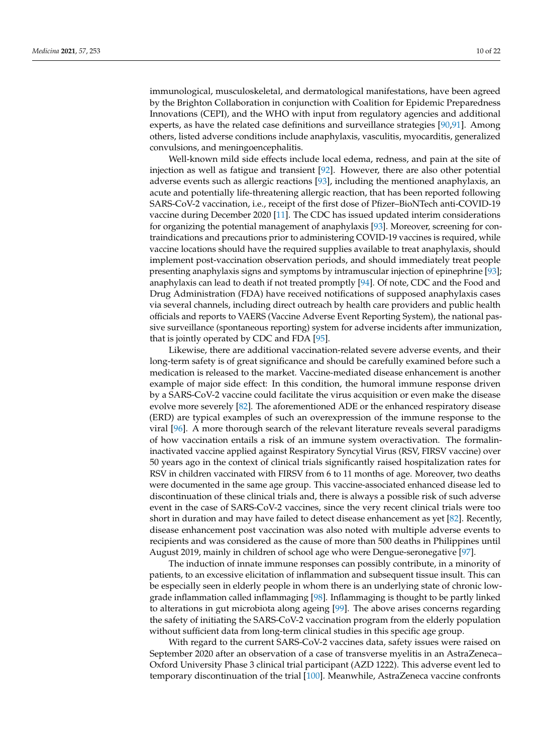immunological, musculoskeletal, and dermatological manifestations, have been agreed by the Brighton Collaboration in conjunction with Coalition for Epidemic Preparedness Innovations (CEPI), and the WHO with input from regulatory agencies and additional experts, as have the related case definitions and surveillance strategies [\[90](#page-18-27)[,91\]](#page-18-28). Among others, listed adverse conditions include anaphylaxis, vasculitis, myocarditis, generalized convulsions, and meningoencephalitis.

Well-known mild side effects include local edema, redness, and pain at the site of injection as well as fatigue and transient [\[92\]](#page-18-29). However, there are also other potential adverse events such as allergic reactions [\[93\]](#page-19-0), including the mentioned anaphylaxis, an acute and potentially life-threatening allergic reaction, that has been reported following SARS-CoV-2 vaccination, i.e., receipt of the first dose of Pfizer–BioNTech anti-COVID-19 vaccine during December 2020 [\[11\]](#page-16-3). The CDC has issued updated interim considerations for organizing the potential management of anaphylaxis [\[93\]](#page-19-0). Moreover, screening for contraindications and precautions prior to administering COVID-19 vaccines is required, while vaccine locations should have the required supplies available to treat anaphylaxis, should implement post-vaccination observation periods, and should immediately treat people presenting anaphylaxis signs and symptoms by intramuscular injection of epinephrine [\[93\]](#page-19-0); anaphylaxis can lead to death if not treated promptly [\[94\]](#page-19-1). Of note, CDC and the Food and Drug Administration (FDA) have received notifications of supposed anaphylaxis cases via several channels, including direct outreach by health care providers and public health officials and reports to VAERS (Vaccine Adverse Event Reporting System), the national passive surveillance (spontaneous reporting) system for adverse incidents after immunization, that is jointly operated by CDC and FDA [\[95\]](#page-19-2).

Likewise, there are additional vaccination-related severe adverse events, and their long-term safety is of great significance and should be carefully examined before such a medication is released to the market. Vaccine-mediated disease enhancement is another example of major side effect: In this condition, the humoral immune response driven by a SARS-CoV-2 vaccine could facilitate the virus acquisition or even make the disease evolve more severely [\[82\]](#page-18-19). The aforementioned ADE or the enhanced respiratory disease (ERD) are typical examples of such an overexpression of the immune response to the viral [\[96\]](#page-19-3). A more thorough search of the relevant literature reveals several paradigms of how vaccination entails a risk of an immune system overactivation. The formalininactivated vaccine applied against Respiratory Syncytial Virus (RSV, FIRSV vaccine) over 50 years ago in the context of clinical trials significantly raised hospitalization rates for RSV in children vaccinated with FIRSV from 6 to 11 months of age. Moreover, two deaths were documented in the same age group. This vaccine-associated enhanced disease led to discontinuation of these clinical trials and, there is always a possible risk of such adverse event in the case of SARS-CoV-2 vaccines, since the very recent clinical trials were too short in duration and may have failed to detect disease enhancement as yet [\[82\]](#page-18-19). Recently, disease enhancement post vaccination was also noted with multiple adverse events to recipients and was considered as the cause of more than 500 deaths in Philippines until August 2019, mainly in children of school age who were Dengue-seronegative [\[97\]](#page-19-4).

The induction of innate immune responses can possibly contribute, in a minority of patients, to an excessive elicitation of inflammation and subsequent tissue insult. This can be especially seen in elderly people in whom there is an underlying state of chronic lowgrade inflammation called inflammaging [\[98\]](#page-19-5). Inflammaging is thought to be partly linked to alterations in gut microbiota along ageing [\[99\]](#page-19-6). The above arises concerns regarding the safety of initiating the SARS-CoV-2 vaccination program from the elderly population without sufficient data from long-term clinical studies in this specific age group.

With regard to the current SARS-CoV-2 vaccines data, safety issues were raised on September 2020 after an observation of a case of transverse myelitis in an AstraZeneca– Oxford University Phase 3 clinical trial participant (AZD 1222). This adverse event led to temporary discontinuation of the trial [\[100\]](#page-19-7). Meanwhile, AstraZeneca vaccine confronts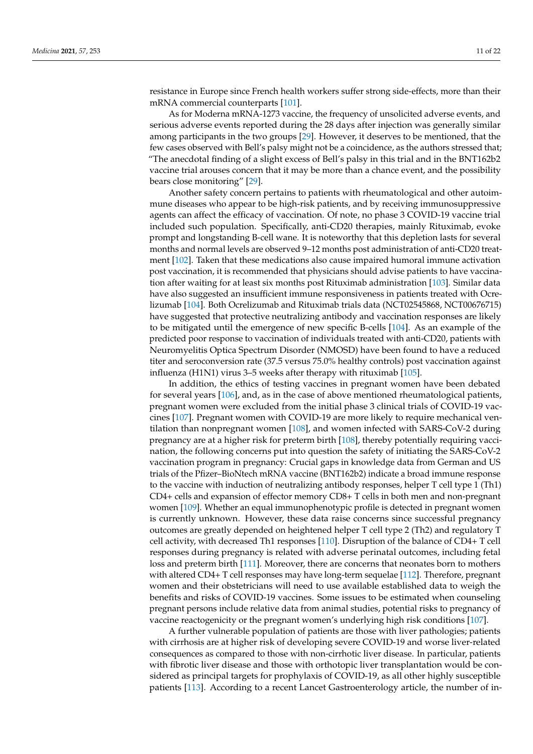resistance in Europe since French health workers suffer strong side-effects, more than their mRNA commercial counterparts [\[101\]](#page-19-8).

As for Moderna mRNA-1273 vaccine, the frequency of unsolicited adverse events, and serious adverse events reported during the 28 days after injection was generally similar among participants in the two groups [\[29\]](#page-16-19). However, it deserves to be mentioned, that the few cases observed with Bell's palsy might not be a coincidence, as the authors stressed that; "The anecdotal finding of a slight excess of Bell's palsy in this trial and in the BNT162b2 vaccine trial arouses concern that it may be more than a chance event, and the possibility bears close monitoring" [\[29\]](#page-16-19).

Another safety concern pertains to patients with rheumatological and other autoimmune diseases who appear to be high-risk patients, and by receiving immunosuppressive agents can affect the efficacy of vaccination. Of note, no phase 3 COVID-19 vaccine trial included such population. Specifically, anti-CD20 therapies, mainly Rituximab, evoke prompt and longstanding B-cell wane. It is noteworthy that this depletion lasts for several months and normal levels are observed 9–12 months post administration of anti-CD20 treatment [\[102\]](#page-19-9). Taken that these medications also cause impaired humoral immune activation post vaccination, it is recommended that physicians should advise patients to have vaccination after waiting for at least six months post Rituximab administration [\[103\]](#page-19-10). Similar data have also suggested an insufficient immune responsiveness in patients treated with Ocrelizumab [\[104\]](#page-19-11). Both Ocrelizumab and Rituximab trials data (NCT02545868, NCT00676715) have suggested that protective neutralizing antibody and vaccination responses are likely to be mitigated until the emergence of new specific B-cells [\[104\]](#page-19-11). As an example of the predicted poor response to vaccination of individuals treated with anti-CD20, patients with Neuromyelitis Optica Spectrum Disorder (NMOSD) have been found to have a reduced titer and seroconversion rate (37.5 versus 75.0% healthy controls) post vaccination against influenza (H1N1) virus 3–5 weeks after therapy with rituximab [\[105\]](#page-19-12).

In addition, the ethics of testing vaccines in pregnant women have been debated for several years [\[106\]](#page-19-13), and, as in the case of above mentioned rheumatological patients, pregnant women were excluded from the initial phase 3 clinical trials of COVID-19 vaccines [\[107\]](#page-19-14). Pregnant women with COVID-19 are more likely to require mechanical ventilation than nonpregnant women [\[108\]](#page-19-15), and women infected with SARS-CoV-2 during pregnancy are at a higher risk for preterm birth [\[108\]](#page-19-15), thereby potentially requiring vaccination, the following concerns put into question the safety of initiating the SARS-CoV-2 vaccination program in pregnancy: Crucial gaps in knowledge data from German and US trials of the Pfizer–BioNtech mRNA vaccine (BNT162b2) indicate a broad immune response to the vaccine with induction of neutralizing antibody responses, helper T cell type 1 (Th1) CD4+ cells and expansion of effector memory CD8+ T cells in both men and non-pregnant women [\[109\]](#page-19-16). Whether an equal immunophenotypic profile is detected in pregnant women is currently unknown. However, these data raise concerns since successful pregnancy outcomes are greatly depended on heightened helper T cell type 2 (Th2) and regulatory T cell activity, with decreased Th1 responses [\[110\]](#page-19-17). Disruption of the balance of CD4+ T cell responses during pregnancy is related with adverse perinatal outcomes, including fetal loss and preterm birth [\[111\]](#page-19-18). Moreover, there are concerns that neonates born to mothers with altered CD4+ T cell responses may have long-term sequelae [\[112\]](#page-19-19). Therefore, pregnant women and their obstetricians will need to use available established data to weigh the benefits and risks of COVID-19 vaccines. Some issues to be estimated when counseling pregnant persons include relative data from animal studies, potential risks to pregnancy of vaccine reactogenicity or the pregnant women's underlying high risk conditions [\[107\]](#page-19-14).

A further vulnerable population of patients are those with liver pathologies; patients with cirrhosis are at higher risk of developing severe COVID-19 and worse liver-related consequences as compared to those with non-cirrhotic liver disease. In particular, patients with fibrotic liver disease and those with orthotopic liver transplantation would be considered as principal targets for prophylaxis of COVID-19, as all other highly susceptible patients [\[113\]](#page-19-20). According to a recent Lancet Gastroenterology article, the number of in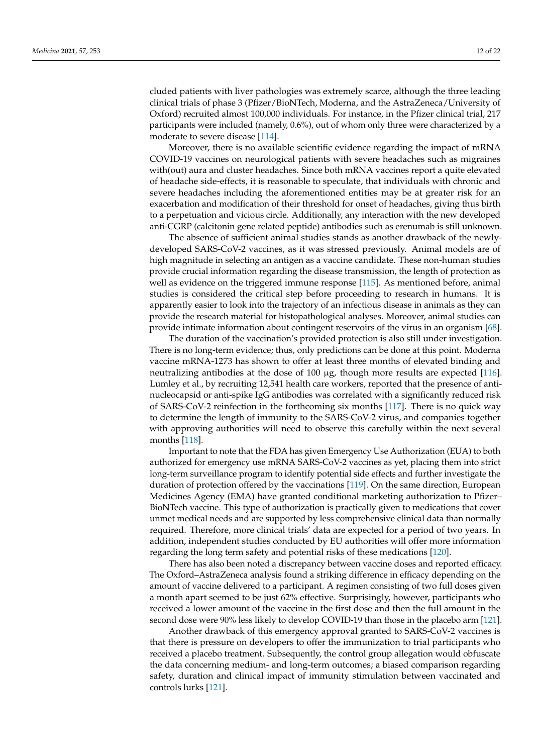cluded patients with liver pathologies was extremely scarce, although the three leading clinical trials of phase 3 (Pfizer/BioNTech, Moderna, and the AstraZeneca/University of Oxford) recruited almost 100,000 individuals. For instance, in the Pfizer clinical trial, 217 participants were included (namely, 0.6%), out of whom only three were characterized by a moderate to severe disease [\[114\]](#page-19-21).

Moreover, there is no available scientific evidence regarding the impact of mRNA COVID-19 vaccines on neurological patients with severe headaches such as migraines with(out) aura and cluster headaches. Since both mRNA vaccines report a quite elevated of headache side-effects, it is reasonable to speculate, that individuals with chronic and severe headaches including the aforementioned entities may be at greater risk for an exacerbation and modification of their threshold for onset of headaches, giving thus birth to a perpetuation and vicious circle. Additionally, any interaction with the new developed anti-CGRP (calcitonin gene related peptide) antibodies such as erenumab is still unknown.

The absence of sufficient animal studies stands as another drawback of the newlydeveloped SARS-CoV-2 vaccines, as it was stressed previously. Animal models are of high magnitude in selecting an antigen as a vaccine candidate. These non-human studies provide crucial information regarding the disease transmission, the length of protection as well as evidence on the triggered immune response [\[115\]](#page-19-22). As mentioned before, animal studies is considered the critical step before proceeding to research in humans. It is apparently easier to look into the trajectory of an infectious disease in animals as they can provide the research material for histopathological analyses. Moreover, animal studies can provide intimate information about contingent reservoirs of the virus in an organism [\[68\]](#page-18-6).

The duration of the vaccination's provided protection is also still under investigation. There is no long-term evidence; thus, only predictions can be done at this point. Moderna vaccine mRNA-1273 has shown to offer at least three months of elevated binding and neutralizing antibodies at the dose of 100 µg, though more results are expected [\[116\]](#page-19-23). Lumley et al., by recruiting 12,541 health care workers, reported that the presence of antinucleocapsid or anti-spike IgG antibodies was correlated with a significantly reduced risk of SARS-CoV-2 reinfection in the forthcoming six months [\[117\]](#page-20-0). There is no quick way to determine the length of immunity to the SARS-CoV-2 virus, and companies together with approving authorities will need to observe this carefully within the next several months [\[118\]](#page-20-1).

Important to note that the FDA has given Emergency Use Authorization (EUA) to both authorized for emergency use mRNA SARS-CoV-2 vaccines as yet, placing them into strict long-term surveillance program to identify potential side effects and further investigate the duration of protection offered by the vaccinations [\[119\]](#page-20-2). On the same direction, European Medicines Agency (EMA) have granted conditional marketing authorization to Pfizer– BioNTech vaccine. This type of authorization is practically given to medications that cover unmet medical needs and are supported by less comprehensive clinical data than normally required. Therefore, more clinical trials' data are expected for a period of two years. In addition, independent studies conducted by EU authorities will offer more information regarding the long term safety and potential risks of these medications [\[120\]](#page-20-3).

There has also been noted a discrepancy between vaccine doses and reported efficacy. The Oxford–AstraZeneca analysis found a striking difference in efficacy depending on the amount of vaccine delivered to a participant. A regimen consisting of two full doses given a month apart seemed to be just 62% effective. Surprisingly, however, participants who received a lower amount of the vaccine in the first dose and then the full amount in the second dose were 90% less likely to develop COVID-19 than those in the placebo arm [\[121\]](#page-20-4).

Another drawback of this emergency approval granted to SARS-CoV-2 vaccines is that there is pressure on developers to offer the immunization to trial participants who received a placebo treatment. Subsequently, the control group allegation would obfuscate the data concerning medium- and long-term outcomes; a biased comparison regarding safety, duration and clinical impact of immunity stimulation between vaccinated and controls lurks [\[121\]](#page-20-4).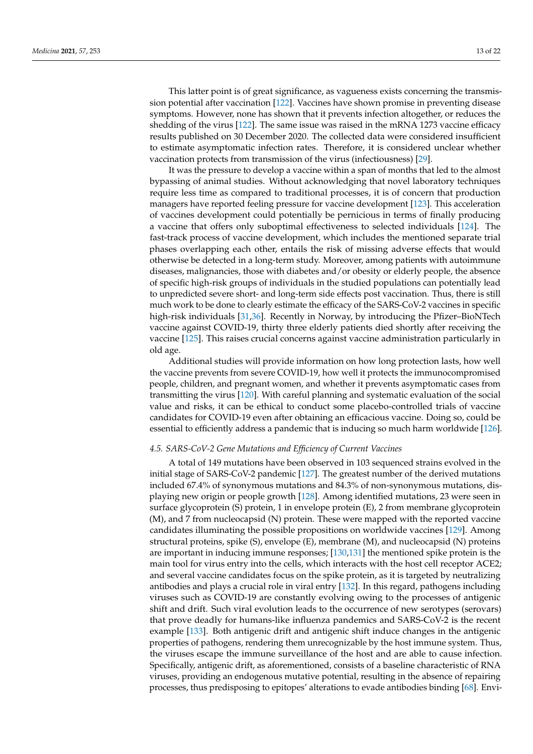This latter point is of great significance, as vagueness exists concerning the transmission potential after vaccination [\[122\]](#page-20-5). Vaccines have shown promise in preventing disease symptoms. However, none has shown that it prevents infection altogether, or reduces the shedding of the virus [\[122\]](#page-20-5). The same issue was raised in the mRNA 1273 vaccine efficacy results published on 30 December 2020. The collected data were considered insufficient to estimate asymptomatic infection rates. Therefore, it is considered unclear whether vaccination protects from transmission of the virus (infectiousness) [\[29\]](#page-16-19).

It was the pressure to develop a vaccine within a span of months that led to the almost bypassing of animal studies. Without acknowledging that novel laboratory techniques require less time as compared to traditional processes, it is of concern that production managers have reported feeling pressure for vaccine development [\[123\]](#page-20-6). This acceleration of vaccines development could potentially be pernicious in terms of finally producing a vaccine that offers only suboptimal effectiveness to selected individuals [\[124\]](#page-20-7). The fast-track process of vaccine development, which includes the mentioned separate trial phases overlapping each other, entails the risk of missing adverse effects that would otherwise be detected in a long-term study. Moreover, among patients with autoimmune diseases, malignancies, those with diabetes and/or obesity or elderly people, the absence of specific high-risk groups of individuals in the studied populations can potentially lead to unpredicted severe short- and long-term side effects post vaccination. Thus, there is still much work to be done to clearly estimate the efficacy of the SARS-CoV-2 vaccines in specific high-risk individuals [\[31,](#page-16-21)[36\]](#page-17-1). Recently in Norway, by introducing the Pfizer–BioNTech vaccine against COVID-19, thirty three elderly patients died shortly after receiving the vaccine [\[125\]](#page-20-8). This raises crucial concerns against vaccine administration particularly in old age.

Additional studies will provide information on how long protection lasts, how well the vaccine prevents from severe COVID-19, how well it protects the immunocompromised people, children, and pregnant women, and whether it prevents asymptomatic cases from transmitting the virus [\[120\]](#page-20-3). With careful planning and systematic evaluation of the social value and risks, it can be ethical to conduct some placebo-controlled trials of vaccine candidates for COVID-19 even after obtaining an efficacious vaccine. Doing so, could be essential to efficiently address a pandemic that is inducing so much harm worldwide [\[126\]](#page-20-9).

#### *4.5. SARS-CoV-2 Gene Mutations and Efficiency of Current Vaccines*

A total of 149 mutations have been observed in 103 sequenced strains evolved in the initial stage of SARS-CoV-2 pandemic [\[127\]](#page-20-10). The greatest number of the derived mutations included 67.4% of synonymous mutations and 84.3% of non-synonymous mutations, displaying new origin or people growth [\[128\]](#page-20-11). Among identified mutations, 23 were seen in surface glycoprotein (S) protein, 1 in envelope protein (E), 2 from membrane glycoprotein (M), and 7 from nucleocapsid (N) protein. These were mapped with the reported vaccine candidates illuminating the possible propositions on worldwide vaccines [\[129\]](#page-20-12). Among structural proteins, spike (S), envelope (E), membrane (M), and nucleocapsid (N) proteins are important in inducing immune responses; [\[130](#page-20-13)[,131\]](#page-20-14) the mentioned spike protein is the main tool for virus entry into the cells, which interacts with the host cell receptor ACE2; and several vaccine candidates focus on the spike protein, as it is targeted by neutralizing antibodies and plays a crucial role in viral entry [\[132\]](#page-20-15). In this regard, pathogens including viruses such as COVID-19 are constantly evolving owing to the processes of antigenic shift and drift. Such viral evolution leads to the occurrence of new serotypes (serovars) that prove deadly for humans-like influenza pandemics and SARS-CoV-2 is the recent example [\[133\]](#page-20-16). Both antigenic drift and antigenic shift induce changes in the antigenic properties of pathogens, rendering them unrecognizable by the host immune system. Thus, the viruses escape the immune surveillance of the host and are able to cause infection. Specifically, antigenic drift, as aforementioned, consists of a baseline characteristic of RNA viruses, providing an endogenous mutative potential, resulting in the absence of repairing processes, thus predisposing to epitopes' alterations to evade antibodies binding [\[68\]](#page-18-6). Envi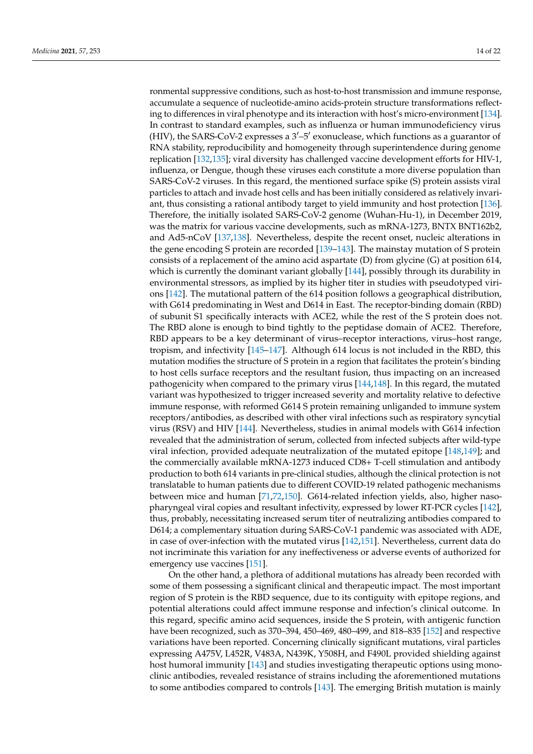ronmental suppressive conditions, such as host-to-host transmission and immune response, accumulate a sequence of nucleotide-amino acids-protein structure transformations reflecting to differences in viral phenotype and its interaction with host's micro-environment [\[134\]](#page-20-17). In contrast to standard examples, such as influenza or human immunodeficiency virus (HIV), the SARS-CoV-2 expresses a  $3'-5'$  exonuclease, which functions as a guarantor of RNA stability, reproducibility and homogeneity through superintendence during genome replication [\[132,](#page-20-15)[135\]](#page-20-18); viral diversity has challenged vaccine development efforts for HIV-1, influenza, or Dengue, though these viruses each constitute a more diverse population than SARS-CoV-2 viruses. In this regard, the mentioned surface spike (S) protein assists viral particles to attach and invade host cells and has been initially considered as relatively invariant, thus consisting a rational antibody target to yield immunity and host protection [\[136\]](#page-20-19). Therefore, the initially isolated SARS-CoV-2 genome (Wuhan-Hu-1), in December 2019, was the matrix for various vaccine developments, such as mRNA-1273, BNTX BNT162b2, and Ad5-nCoV [\[137](#page-20-20)[,138\]](#page-20-21). Nevertheless, despite the recent onset, nucleic alterations in the gene encoding S protein are recorded [\[139](#page-20-22)[–143\]](#page-20-23). The mainstay mutation of S protein consists of a replacement of the amino acid aspartate (D) from glycine (G) at position 614, which is currently the dominant variant globally [\[144\]](#page-21-0), possibly through its durability in environmental stressors, as implied by its higher titer in studies with pseudotyped virions [\[142\]](#page-20-24). The mutational pattern of the 614 position follows a geographical distribution, with G614 predominating in West and D614 in East. The receptor-binding domain (RBD) of subunit S1 specifically interacts with ACE2, while the rest of the S protein does not. The RBD alone is enough to bind tightly to the peptidase domain of ACE2. Therefore, RBD appears to be a key determinant of virus–receptor interactions, virus–host range, tropism, and infectivity [\[145](#page-21-1)[–147\]](#page-21-2). Although 614 locus is not included in the RBD, this mutation modifies the structure of S protein in a region that facilitates the protein's binding to host cells surface receptors and the resultant fusion, thus impacting on an increased pathogenicity when compared to the primary virus [\[144,](#page-21-0)[148\]](#page-21-3). In this regard, the mutated variant was hypothesized to trigger increased severity and mortality relative to defective immune response, with reformed G614 S protein remaining unliganded to immune system receptors/antibodies, as described with other viral infections such as respiratory syncytial virus (RSV) and HIV [\[144\]](#page-21-0). Nevertheless, studies in animal models with G614 infection revealed that the administration of serum, collected from infected subjects after wild-type viral infection, provided adequate neutralization of the mutated epitope [\[148](#page-21-3)[,149\]](#page-21-4); and the commercially available mRNA-1273 induced CD8+ T-cell stimulation and antibody production to both 614 variants in pre-clinical studies, although the clinical protection is not translatable to human patients due to different COVID-19 related pathogenic mechanisms between mice and human [\[71](#page-18-9)[,72](#page-18-10)[,150\]](#page-21-5). G614-related infection yields, also, higher nasopharyngeal viral copies and resultant infectivity, expressed by lower RT-PCR cycles [\[142\]](#page-20-24), thus, probably, necessitating increased serum titer of neutralizing antibodies compared to D614; a complementary situation during SARS-CoV-1 pandemic was associated with ADE, in case of over-infection with the mutated virus [\[142](#page-20-24)[,151\]](#page-21-6). Nevertheless, current data do not incriminate this variation for any ineffectiveness or adverse events of authorized for emergency use vaccines [\[151\]](#page-21-6).

On the other hand, a plethora of additional mutations has already been recorded with some of them possessing a significant clinical and therapeutic impact. The most important region of S protein is the RBD sequence, due to its contiguity with epitope regions, and potential alterations could affect immune response and infection's clinical outcome. In this regard, specific amino acid sequences, inside the S protein, with antigenic function have been recognized, such as 370–394, 450–469, 480–499, and 818–835 [\[152\]](#page-21-7) and respective variations have been reported. Concerning clinically significant mutations, viral particles expressing A475V, L452R, V483A, N439K, Y508H, and F490L provided shielding against host humoral immunity [\[143\]](#page-20-23) and studies investigating therapeutic options using monoclinic antibodies, revealed resistance of strains including the aforementioned mutations to some antibodies compared to controls [\[143\]](#page-20-23). The emerging British mutation is mainly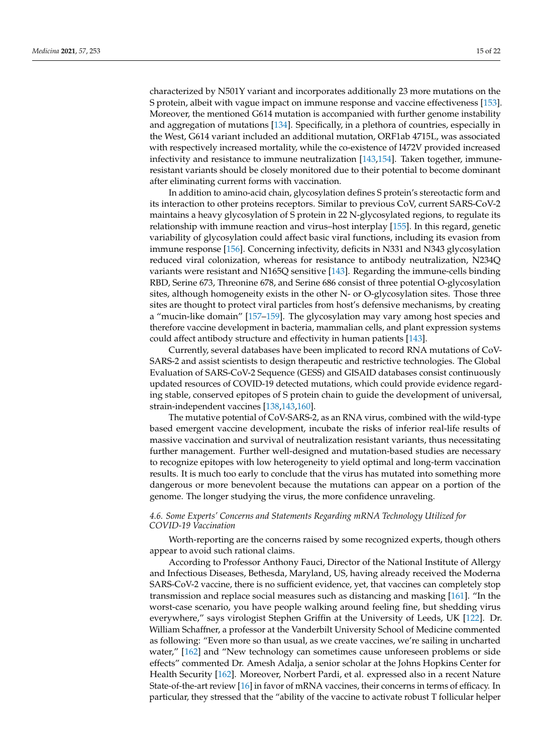characterized by N501Y variant and incorporates additionally 23 more mutations on the S protein, albeit with vague impact on immune response and vaccine effectiveness [\[153\]](#page-21-8). Moreover, the mentioned G614 mutation is accompanied with further genome instability and aggregation of mutations [\[134\]](#page-20-17). Specifically, in a plethora of countries, especially in the West, G614 variant included an additional mutation, ORF1ab 4715L, was associated with respectively increased mortality, while the co-existence of I472V provided increased infectivity and resistance to immune neutralization [\[143](#page-20-23)[,154\]](#page-21-9). Taken together, immuneresistant variants should be closely monitored due to their potential to become dominant after eliminating current forms with vaccination.

In addition to amino-acid chain, glycosylation defines S protein's stereotactic form and its interaction to other proteins receptors. Similar to previous CoV, current SARS-CoV-2 maintains a heavy glycosylation of S protein in 22 N-glycosylated regions, to regulate its relationship with immune reaction and virus–host interplay [\[155\]](#page-21-10). In this regard, genetic variability of glycosylation could affect basic viral functions, including its evasion from immune response [\[156\]](#page-21-11). Concerning infectivity, deficits in N331 and N343 glycosylation reduced viral colonization, whereas for resistance to antibody neutralization, N234Q variants were resistant and N165Q sensitive [\[143\]](#page-20-23). Regarding the immune-cells binding RBD, Serine 673, Threonine 678, and Serine 686 consist of three potential O-glycosylation sites, although homogeneity exists in the other N- or O-glycosylation sites. Those three sites are thought to protect viral particles from host's defensive mechanisms, by creating a "mucin-like domain" [\[157–](#page-21-12)[159\]](#page-21-13). The glycosylation may vary among host species and therefore vaccine development in bacteria, mammalian cells, and plant expression systems could affect antibody structure and effectivity in human patients [\[143\]](#page-20-23).

Currently, several databases have been implicated to record RNA mutations of CoV-SARS-2 and assist scientists to design therapeutic and restrictive technologies. The Global Evaluation of SARS-CoV-2 Sequence (GESS) and GISAID databases consist continuously updated resources of COVID-19 detected mutations, which could provide evidence regarding stable, conserved epitopes of S protein chain to guide the development of universal, strain-independent vaccines [\[138,](#page-20-21)[143,](#page-20-23)[160\]](#page-21-14).

The mutative potential of CoV-SARS-2, as an RNA virus, combined with the wild-type based emergent vaccine development, incubate the risks of inferior real-life results of massive vaccination and survival of neutralization resistant variants, thus necessitating further management. Further well-designed and mutation-based studies are necessary to recognize epitopes with low heterogeneity to yield optimal and long-term vaccination results. It is much too early to conclude that the virus has mutated into something more dangerous or more benevolent because the mutations can appear on a portion of the genome. The longer studying the virus, the more confidence unraveling.

# *4.6. Some Experts' Concerns and Statements Regarding mRNA Technology Utilized for COVID-19 Vaccination*

Worth-reporting are the concerns raised by some recognized experts, though others appear to avoid such rational claims.

According to Professor Anthony Fauci, Director of the National Institute of Allergy and Infectious Diseases, Bethesda, Maryland, US, having already received the Moderna SARS-CoV-2 vaccine, there is no sufficient evidence, yet, that vaccines can completely stop transmission and replace social measures such as distancing and masking [\[161\]](#page-21-15). "In the worst-case scenario, you have people walking around feeling fine, but shedding virus everywhere," says virologist Stephen Griffin at the University of Leeds, UK [\[122\]](#page-20-5). Dr. William Schaffner, a professor at the Vanderbilt University School of Medicine commented as following: "Even more so than usual, as we create vaccines, we're sailing in uncharted water," [\[162\]](#page-21-16) and "New technology can sometimes cause unforeseen problems or side effects" commented Dr. Amesh Adalja, a senior scholar at the Johns Hopkins Center for Health Security [\[162\]](#page-21-16). Moreover, Norbert Pardi, et al. expressed also in a recent Nature State-of-the-art review [\[16\]](#page-16-8) in favor of mRNA vaccines, their concerns in terms of efficacy. In particular, they stressed that the "ability of the vaccine to activate robust T follicular helper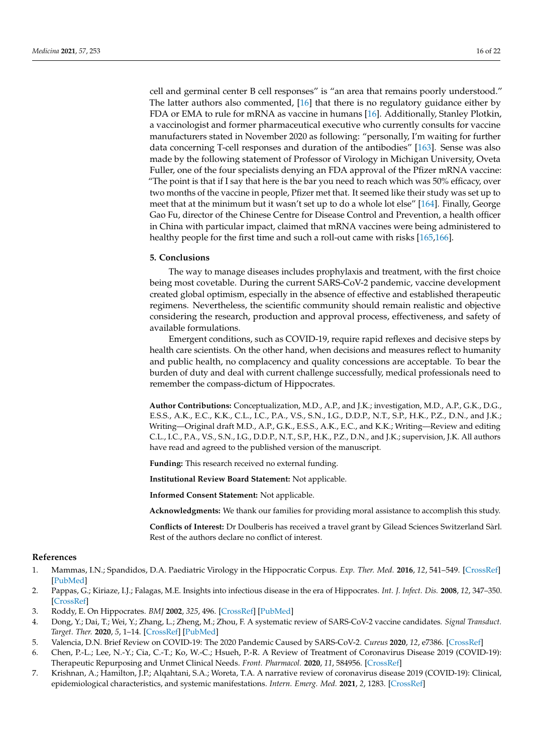cell and germinal center B cell responses" is "an area that remains poorly understood." The latter authors also commented,  $[16]$  that there is no regulatory guidance either by FDA or EMA to rule for mRNA as vaccine in humans [\[16\]](#page-16-8). Additionally, Stanley Plotkin, a vaccinologist and former pharmaceutical executive who currently consults for vaccine manufacturers stated in November 2020 as following: "personally, I'm waiting for further data concerning T-cell responses and duration of the antibodies" [\[163\]](#page-21-17). Sense was also made by the following statement of Professor of Virology in Michigan University, Oveta Fuller, one of the four specialists denying an FDA approval of the Pfizer mRNA vaccine: "The point is that if I say that here is the bar you need to reach which was 50% efficacy, over two months of the vaccine in people, Pfizer met that. It seemed like their study was set up to meet that at the minimum but it wasn't set up to do a whole lot else" [\[164\]](#page-21-18). Finally, George Gao Fu, director of the Chinese Centre for Disease Control and Prevention, a health officer in China with particular impact, claimed that mRNA vaccines were being administered to healthy people for the first time and such a roll-out came with risks [\[165](#page-21-19)[,166\]](#page-21-20).

### <span id="page-15-2"></span>**5. Conclusions**

The way to manage diseases includes prophylaxis and treatment, with the first choice being most covetable. During the current SARS-CoV-2 pandemic, vaccine development created global optimism, especially in the absence of effective and established therapeutic regimens. Nevertheless, the scientific community should remain realistic and objective considering the research, production and approval process, effectiveness, and safety of available formulations.

Emergent conditions, such as COVID-19, require rapid reflexes and decisive steps by health care scientists. On the other hand, when decisions and measures reflect to humanity and public health, no complacency and quality concessions are acceptable. To bear the burden of duty and deal with current challenge successfully, medical professionals need to remember the compass-dictum of Hippocrates.

**Author Contributions:** Conceptualization, M.D., A.P., and J.K.; investigation, M.D., A.P., G.K., D.G., E.S.S., A.K., E.C., K.K., C.L., I.C., P.A., V.S., S.N., I.G., D.D.P., N.T., S.P., H.K., P.Z., D.N., and J.K.; Writing—Original draft M.D., A.P., G.K., E.S.S., A.K., E.C., and K.K.; Writing—Review and editing C.L., I.C., P.A., V.S., S.N., I.G., D.D.P., N.T., S.P., H.K., P.Z., D.N., and J.K.; supervision, J.K. All authors have read and agreed to the published version of the manuscript.

**Funding:** This research received no external funding.

**Institutional Review Board Statement:** Not applicable.

**Informed Consent Statement:** Not applicable.

**Acknowledgments:** We thank our families for providing moral assistance to accomplish this study.

**Conflicts of Interest:** Dr Doulberis has received a travel grant by Gilead Sciences Switzerland Sàrl. Rest of the authors declare no conflict of interest.

# **References**

- <span id="page-15-0"></span>1. Mammas, I.N.; Spandidos, D.A. Paediatric Virology in the Hippocratic Corpus. *Exp. Ther. Med.* **2016**, *12*, 541–549. [\[CrossRef\]](http://doi.org/10.3892/etm.2016.3420) [\[PubMed\]](http://www.ncbi.nlm.nih.gov/pubmed/27446241)
- 2. Pappas, G.; Kiriaze, I.J.; Falagas, M.E. Insights into infectious disease in the era of Hippocrates. *Int. J. Infect. Dis.* **2008**, *12*, 347–350. [\[CrossRef\]](http://doi.org/10.1016/j.ijid.2007.11.003)
- <span id="page-15-1"></span>3. Roddy, E. On Hippocrates. *BMJ* **2002**, *325*, 496. [\[CrossRef\]](http://doi.org/10.1136/bmj.325.7362.496/a) [\[PubMed\]](http://www.ncbi.nlm.nih.gov/pubmed/12202343)
- <span id="page-15-3"></span>4. Dong, Y.; Dai, T.; Wei, Y.; Zhang, L.; Zheng, M.; Zhou, F. A systematic review of SARS-CoV-2 vaccine candidates. *Signal Transduct. Target. Ther.* **2020**, *5*, 1–14. [\[CrossRef\]](http://doi.org/10.1038/s41392-020-00352-y) [\[PubMed\]](http://www.ncbi.nlm.nih.gov/pubmed/33051445)
- 5. Valencia, D.N. Brief Review on COVID-19: The 2020 Pandemic Caused by SARS-CoV-2. *Cureus* **2020**, *12*, e7386. [\[CrossRef\]](http://doi.org/10.7759/cureus.7386)
- <span id="page-15-5"></span>6. Chen, P.-L.; Lee, N.-Y.; Cia, C.-T.; Ko, W.-C.; Hsueh, P.-R. A Review of Treatment of Coronavirus Disease 2019 (COVID-19): Therapeutic Repurposing and Unmet Clinical Needs. *Front. Pharmacol.* **2020**, *11*, 584956. [\[CrossRef\]](http://doi.org/10.3389/fphar.2020.584956)
- <span id="page-15-4"></span>7. Krishnan, A.; Hamilton, J.P.; Alqahtani, S.A.; Woreta, T.A. A narrative review of coronavirus disease 2019 (COVID-19): Clinical, epidemiological characteristics, and systemic manifestations. *Intern. Emerg. Med.* **2021**, *2*, 1283. [\[CrossRef\]](http://doi.org/10.1007/s11739-020-02616-5)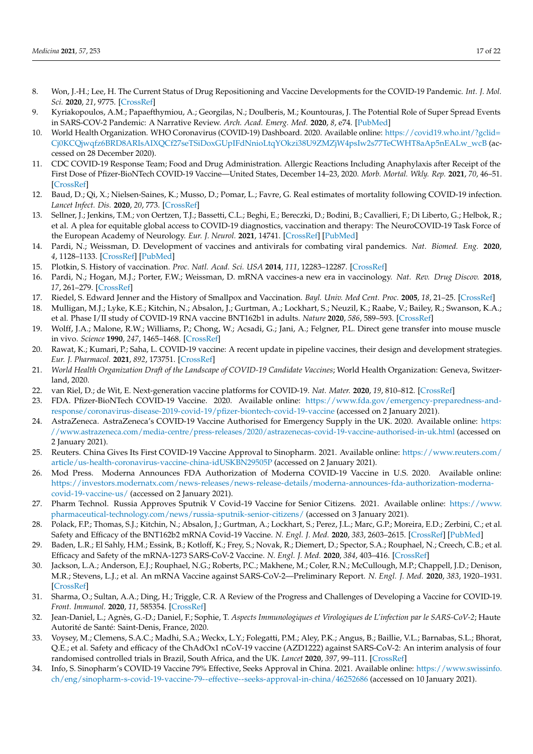- <span id="page-16-0"></span>8. Won, J.-H.; Lee, H. The Current Status of Drug Repositioning and Vaccine Developments for the COVID-19 Pandemic. *Int. J. Mol. Sci.* **2020**, *21*, 9775. [\[CrossRef\]](http://doi.org/10.3390/ijms21249775)
- <span id="page-16-1"></span>9. Kyriakopoulos, A.M.; Papaefthymiou, A.; Georgilas, N.; Doulberis, M.; Kountouras, J. The Potential Role of Super Spread Events in SARS-COV-2 Pandemic: A Narrative Review. *Arch. Acad. Emerg. Med.* **2020**, *8*, e74. [\[PubMed\]](http://www.ncbi.nlm.nih.gov/pubmed/33134970)
- <span id="page-16-2"></span>10. World Health Organization. WHO Coronavirus (COVID-19) Dashboard. 2020. Available online: [https://covid19.who.int/?gclid=](https://covid19.who.int/?gclid=Cj0KCQjwqfz6BRD8ARIsAIXQCf27seTSiDoxGUpIFdNnioLtqYOkzi38U9ZMZjW4psIw2s77TeCWHT8aAp5nEALw_wcB) [Cj0KCQjwqfz6BRD8ARIsAIXQCf27seTSiDoxGUpIFdNnioLtqYOkzi38U9ZMZjW4psIw2s77TeCWHT8aAp5nEALw\\_wcB](https://covid19.who.int/?gclid=Cj0KCQjwqfz6BRD8ARIsAIXQCf27seTSiDoxGUpIFdNnioLtqYOkzi38U9ZMZjW4psIw2s77TeCWHT8aAp5nEALw_wcB) (accessed on 28 December 2020).
- <span id="page-16-3"></span>11. CDC COVID-19 Response Team; Food and Drug Administration. Allergic Reactions Including Anaphylaxis after Receipt of the First Dose of Pfizer-BioNTech COVID-19 Vaccine—United States, December 14–23, 2020. *Morb. Mortal. Wkly. Rep.* **2021**, *70*, 46–51. [\[CrossRef\]](http://doi.org/10.15585/mmwr.mm7002e1)
- <span id="page-16-4"></span>12. Baud, D.; Qi, X.; Nielsen-Saines, K.; Musso, D.; Pomar, L.; Favre, G. Real estimates of mortality following COVID-19 infection. *Lancet Infect. Dis.* **2020**, *20*, 773. [\[CrossRef\]](http://doi.org/10.1016/S1473-3099(20)30195-X)
- <span id="page-16-5"></span>13. Sellner, J.; Jenkins, T.M.; von Oertzen, T.J.; Bassetti, C.L.; Beghi, E.; Bereczki, D.; Bodini, B.; Cavallieri, F.; Di Liberto, G.; Helbok, R.; et al. A plea for equitable global access to COVID-19 diagnostics, vaccination and therapy: The NeuroCOVID-19 Task Force of the European Academy of Neurology. *Eur. J. Neurol.* **2021**, 14741. [\[CrossRef\]](http://doi.org/10.1111/ene.14741) [\[PubMed\]](http://www.ncbi.nlm.nih.gov/pubmed/33460486)
- <span id="page-16-6"></span>14. Pardi, N.; Weissman, D. Development of vaccines and antivirals for combating viral pandemics. *Nat. Biomed. Eng.* **2020**, *4*, 1128–1133. [\[CrossRef\]](http://doi.org/10.1038/s41551-020-00658-w) [\[PubMed\]](http://www.ncbi.nlm.nih.gov/pubmed/33293724)
- <span id="page-16-7"></span>15. Plotkin, S. History of vaccination. *Proc. Natl. Acad. Sci. USA* **2014**, *111*, 12283–12287. [\[CrossRef\]](http://doi.org/10.1073/pnas.1400472111)
- <span id="page-16-8"></span>16. Pardi, N.; Hogan, M.J.; Porter, F.W.; Weissman, D. mRNA vaccines-a new era in vaccinology. *Nat. Rev. Drug Discov.* **2018**, *17*, 261–279. [\[CrossRef\]](http://doi.org/10.1038/nrd.2017.243)
- <span id="page-16-9"></span>17. Riedel, S. Edward Jenner and the History of Smallpox and Vaccination. *Bayl. Univ. Med Cent. Proc.* **2005**, *18*, 21–25. [\[CrossRef\]](http://doi.org/10.1080/08998280.2005.11928028)
- <span id="page-16-10"></span>18. Mulligan, M.J.; Lyke, K.E.; Kitchin, N.; Absalon, J.; Gurtman, A.; Lockhart, S.; Neuzil, K.; Raabe, V.; Bailey, R.; Swanson, K.A.; et al. Phase I/II study of COVID-19 RNA vaccine BNT162b1 in adults. *Nature* **2020**, *586*, 589–593. [\[CrossRef\]](http://doi.org/10.1038/s41586-020-2639-4)
- <span id="page-16-11"></span>19. Wolff, J.A.; Malone, R.W.; Williams, P.; Chong, W.; Acsadi, G.; Jani, A.; Felgner, P.L. Direct gene transfer into mouse muscle in vivo. *Science* **1990**, *247*, 1465–1468. [\[CrossRef\]](http://doi.org/10.1126/science.1690918)
- <span id="page-16-12"></span>20. Rawat, K.; Kumari, P.; Saha, L. COVID-19 vaccine: A recent update in pipeline vaccines, their design and development strategies. *Eur. J. Pharmacol.* **2021**, *892*, 173751. [\[CrossRef\]](http://doi.org/10.1016/j.ejphar.2020.173751)
- <span id="page-16-13"></span>21. *World Health Organization Draft of the Landscape of COVID-19 Candidate Vaccines*; World Health Organization: Geneva, Switzerland, 2020.
- <span id="page-16-14"></span>22. van Riel, D.; de Wit, E. Next-generation vaccine platforms for COVID-19. *Nat. Mater.* **2020**, *19*, 810–812. [\[CrossRef\]](http://doi.org/10.1038/s41563-020-0746-0)
- <span id="page-16-15"></span>23. FDA. Pfizer-BioNTech COVID-19 Vaccine. 2020. Available online: [https://www.fda.gov/emergency-preparedness-and](https://www.fda.gov/emergency-preparedness-and-response/coronavirus-disease-2019-covid-19/pfizer-biontech-covid-19-vaccine)[response/coronavirus-disease-2019-covid-19/pfizer-biontech-covid-19-vaccine](https://www.fda.gov/emergency-preparedness-and-response/coronavirus-disease-2019-covid-19/pfizer-biontech-covid-19-vaccine) (accessed on 2 January 2021).
- <span id="page-16-23"></span>24. AstraZeneca. AstraZeneca's COVID-19 Vaccine Authorised for Emergency Supply in the UK. 2020. Available online: [https:](https://www.astrazeneca.com/media-centre/press-releases/2020/astrazenecas-covid-19-vaccine-authorised-in-uk.html) [//www.astrazeneca.com/media-centre/press-releases/2020/astrazenecas-covid-19-vaccine-authorised-in-uk.html](https://www.astrazeneca.com/media-centre/press-releases/2020/astrazenecas-covid-19-vaccine-authorised-in-uk.html) (accessed on 2 January 2021).
- <span id="page-16-25"></span>25. Reuters. China Gives Its First COVID-19 Vaccine Approval to Sinopharm. 2021. Available online: [https://www.reuters.com/](https://www.reuters.com/article/us-health-coronavirus-vaccine-china-idUSKBN29505P) [article/us-health-coronavirus-vaccine-china-idUSKBN29505P](https://www.reuters.com/article/us-health-coronavirus-vaccine-china-idUSKBN29505P) (accessed on 2 January 2021).
- <span id="page-16-18"></span>26. Mod Press. Moderna Announces FDA Authorization of Moderna COVID-19 Vaccine in U.S. 2020. Available online: [https://investors.modernatx.com/news-releases/news-release-details/moderna-announces-fda-authorization-moderna](https://investors.modernatx.com/news-releases/news-release-details/moderna-announces-fda-authorization-moderna-covid-19-vaccine-us/)[covid-19-vaccine-us/](https://investors.modernatx.com/news-releases/news-release-details/moderna-announces-fda-authorization-moderna-covid-19-vaccine-us/) (accessed on 2 January 2021).
- <span id="page-16-16"></span>27. Pharm Technol. Russia Approves Sputnik V Covid-19 Vaccine for Senior Citizens. 2021. Available online: [https://www.](https://www.pharmaceutical-technology.com/news/russia-sputnik-senior-citizens/) [pharmaceutical-technology.com/news/russia-sputnik-senior-citizens/](https://www.pharmaceutical-technology.com/news/russia-sputnik-senior-citizens/) (accessed on 3 January 2021).
- <span id="page-16-17"></span>28. Polack, F.P.; Thomas, S.J.; Kitchin, N.; Absalon, J.; Gurtman, A.; Lockhart, S.; Perez, J.L.; Marc, G.P.; Moreira, E.D.; Zerbini, C.; et al. Safety and Efficacy of the BNT162b2 mRNA Covid-19 Vaccine. *N. Engl. J. Med.* **2020**, *383*, 2603–2615. [\[CrossRef\]](http://doi.org/10.1056/NEJMoa2034577) [\[PubMed\]](http://www.ncbi.nlm.nih.gov/pubmed/33301246)
- <span id="page-16-19"></span>29. Baden, L.R.; El Sahly, H.M.; Essink, B.; Kotloff, K.; Frey, S.; Novak, R.; Diemert, D.; Spector, S.A.; Rouphael, N.; Creech, C.B.; et al. Efficacy and Safety of the mRNA-1273 SARS-CoV-2 Vaccine. *N. Engl. J. Med.* **2020**, *384*, 403–416. [\[CrossRef\]](http://doi.org/10.1056/NEJMoa2035389)
- <span id="page-16-20"></span>30. Jackson, L.A.; Anderson, E.J.; Rouphael, N.G.; Roberts, P.C.; Makhene, M.; Coler, R.N.; McCullough, M.P.; Chappell, J.D.; Denison, M.R.; Stevens, L.J.; et al. An mRNA Vaccine against SARS-CoV-2—Preliminary Report. *N. Engl. J. Med.* **2020**, *383*, 1920–1931. [\[CrossRef\]](http://doi.org/10.1056/NEJMoa2022483)
- <span id="page-16-21"></span>31. Sharma, O.; Sultan, A.A.; Ding, H.; Triggle, C.R. A Review of the Progress and Challenges of Developing a Vaccine for COVID-19. *Front. Immunol.* **2020**, *11*, 585354. [\[CrossRef\]](http://doi.org/10.3389/fimmu.2020.585354)
- <span id="page-16-22"></span>32. Jean-Daniel, L.; Agnès, G.-D.; Daniel, F.; Sophie, T. *Aspects Immunologiques et Virologiques de L'infection par le SARS-CoV-2*; Haute Autorité de Santé: Saint-Denis, France, 2020.
- <span id="page-16-24"></span>33. Voysey, M.; Clemens, S.A.C.; Madhi, S.A.; Weckx, L.Y.; Folegatti, P.M.; Aley, P.K.; Angus, B.; Baillie, V.L.; Barnabas, S.L.; Bhorat, Q.E.; et al. Safety and efficacy of the ChAdOx1 nCoV-19 vaccine (AZD1222) against SARS-CoV-2: An interim analysis of four randomised controlled trials in Brazil, South Africa, and the UK. *Lancet* **2020**, *397*, 99–111. [\[CrossRef\]](http://doi.org/10.1016/S0140-6736(20)32661-1)
- <span id="page-16-26"></span>34. Info, S. Sinopharm's COVID-19 Vaccine 79% Effective, Seeks Approval in China. 2021. Available online: [https://www.swissinfo.](https://www.swissinfo.ch/eng/sinopharm-s-covid-19-vaccine-79--effective--seeks-approval-in-china/46252686) [ch/eng/sinopharm-s-covid-19-vaccine-79--effective--seeks-approval-in-china/46252686](https://www.swissinfo.ch/eng/sinopharm-s-covid-19-vaccine-79--effective--seeks-approval-in-china/46252686) (accessed on 10 January 2021).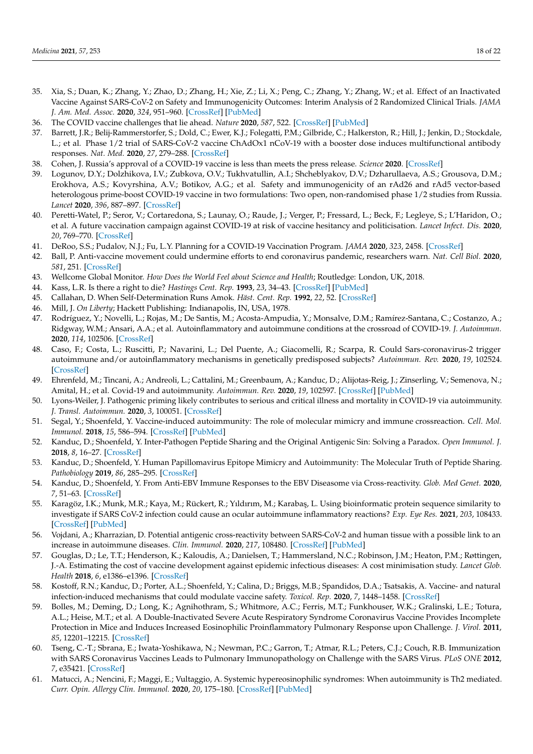- <span id="page-17-0"></span>35. Xia, S.; Duan, K.; Zhang, Y.; Zhao, D.; Zhang, H.; Xie, Z.; Li, X.; Peng, C.; Zhang, Y.; Zhang, W.; et al. Effect of an Inactivated Vaccine Against SARS-CoV-2 on Safety and Immunogenicity Outcomes: Interim Analysis of 2 Randomized Clinical Trials. *JAMA J. Am. Med. Assoc.* **2020**, *324*, 951–960. [\[CrossRef\]](http://doi.org/10.1001/jama.2020.15543) [\[PubMed\]](http://www.ncbi.nlm.nih.gov/pubmed/32789505)
- <span id="page-17-1"></span>36. The COVID vaccine challenges that lie ahead. *Nature* **2020**, *587*, 522. [\[CrossRef\]](http://doi.org/10.1038/d41586-020-03334-w) [\[PubMed\]](http://www.ncbi.nlm.nih.gov/pubmed/33235368)
- <span id="page-17-2"></span>37. Barrett, J.R.; Belij-Rammerstorfer, S.; Dold, C.; Ewer, K.J.; Folegatti, P.M.; Gilbride, C.; Halkerston, R.; Hill, J.; Jenkin, D.; Stockdale, L.; et al. Phase 1/2 trial of SARS-CoV-2 vaccine ChAdOx1 nCoV-19 with a booster dose induces multifunctional antibody responses. *Nat. Med.* **2020**, *27*, 279–288. [\[CrossRef\]](http://doi.org/10.1038/s41591-020-01179-4)
- <span id="page-17-3"></span>38. Cohen, J. Russia's approval of a COVID-19 vaccine is less than meets the press release. *Science* **2020**. [\[CrossRef\]](http://doi.org/10.1126/science.abe2848)
- <span id="page-17-4"></span>39. Logunov, D.Y.; Dolzhikova, I.V.; Zubkova, O.V.; Tukhvatullin, A.I.; Shcheblyakov, D.V.; Dzharullaeva, A.S.; Grousova, D.M.; Erokhova, A.S.; Kovyrshina, A.V.; Botikov, A.G.; et al. Safety and immunogenicity of an rAd26 and rAd5 vector-based heterologous prime-boost COVID-19 vaccine in two formulations: Two open, non-randomised phase 1/2 studies from Russia. *Lancet* **2020**, *396*, 887–897. [\[CrossRef\]](http://doi.org/10.1016/S0140-6736(20)31866-3)
- <span id="page-17-5"></span>40. Peretti-Watel, P.; Seror, V.; Cortaredona, S.; Launay, O.; Raude, J.; Verger, P.; Fressard, L.; Beck, F.; Legleye, S.; L'Haridon, O.; et al. A future vaccination campaign against COVID-19 at risk of vaccine hesitancy and politicisation. *Lancet Infect. Dis.* **2020**, *20*, 769–770. [\[CrossRef\]](http://doi.org/10.1016/S1473-3099(20)30426-6)
- <span id="page-17-6"></span>41. DeRoo, S.S.; Pudalov, N.J.; Fu, L.Y. Planning for a COVID-19 Vaccination Program. *JAMA* **2020**, *323*, 2458. [\[CrossRef\]](http://doi.org/10.1001/jama.2020.8711)
- <span id="page-17-7"></span>42. Ball, P. Anti-vaccine movement could undermine efforts to end coronavirus pandemic, researchers warn. *Nat. Cell Biol.* **2020**, *581*, 251. [\[CrossRef\]](http://doi.org/10.1038/d41586-020-01423-4)
- <span id="page-17-8"></span>43. Wellcome Global Monitor. *How Does the World Feel about Science and Health*; Routledge: London, UK, 2018.
- <span id="page-17-9"></span>44. Kass, L.R. Is there a right to die? *Hastings Cent. Rep.* **1993**, *23*, 34–43. [\[CrossRef\]](http://doi.org/10.2307/3562279) [\[PubMed\]](http://www.ncbi.nlm.nih.gov/pubmed/8436490)
- <span id="page-17-10"></span>45. Callahan, D. When Self-Determination Runs Amok. *Häst. Cent. Rep.* **1992**, *22*, 52. [\[CrossRef\]](http://doi.org/10.2307/3562566)
- <span id="page-17-11"></span>46. Mill, J. *On Liberty*; Hackett Publishing: Indianapolis, IN, USA, 1978.
- <span id="page-17-12"></span>47. Rodríguez, Y.; Novelli, L.; Rojas, M.; De Santis, M.; Acosta-Ampudia, Y.; Monsalve, D.M.; Ramírez-Santana, C.; Costanzo, A.; Ridgway, W.M.; Ansari, A.A.; et al. Autoinflammatory and autoimmune conditions at the crossroad of COVID-19. *J. Autoimmun.* **2020**, *114*, 102506. [\[CrossRef\]](http://doi.org/10.1016/j.jaut.2020.102506)
- <span id="page-17-13"></span>48. Caso, F.; Costa, L.; Ruscitti, P.; Navarini, L.; Del Puente, A.; Giacomelli, R.; Scarpa, R. Could Sars-coronavirus-2 trigger autoimmune and/or autoinflammatory mechanisms in genetically predisposed subjects? *Autoimmun. Rev.* **2020**, *19*, 102524. [\[CrossRef\]](http://doi.org/10.1016/j.autrev.2020.102524)
- <span id="page-17-25"></span>49. Ehrenfeld, M.; Tincani, A.; Andreoli, L.; Cattalini, M.; Greenbaum, A.; Kanduc, D.; Alijotas-Reig, J.; Zinserling, V.; Semenova, N.; Amital, H.; et al. Covid-19 and autoimmunity. *Autoimmun. Rev.* **2020**, *19*, 102597. [\[CrossRef\]](http://doi.org/10.1016/j.autrev.2020.102597) [\[PubMed\]](http://www.ncbi.nlm.nih.gov/pubmed/32535093)
- <span id="page-17-14"></span>50. Lyons-Weiler, J. Pathogenic priming likely contributes to serious and critical illness and mortality in COVID-19 via autoimmunity. *J. Transl. Autoimmun.* **2020**, *3*, 100051. [\[CrossRef\]](http://doi.org/10.1016/j.jtauto.2020.100051)
- <span id="page-17-15"></span>51. Segal, Y.; Shoenfeld, Y. Vaccine-induced autoimmunity: The role of molecular mimicry and immune crossreaction. *Cell. Mol. Immunol.* **2018**, *15*, 586–594. [\[CrossRef\]](http://doi.org/10.1038/cmi.2017.151) [\[PubMed\]](http://www.ncbi.nlm.nih.gov/pubmed/29503439)
- <span id="page-17-16"></span>52. Kanduc, D.; Shoenfeld, Y. Inter-Pathogen Peptide Sharing and the Original Antigenic Sin: Solving a Paradox. *Open Immunol. J.* **2018**, *8*, 16–27. [\[CrossRef\]](http://doi.org/10.2174/1874226201808010016)
- 53. Kanduc, D.; Shoenfeld, Y. Human Papillomavirus Epitope Mimicry and Autoimmunity: The Molecular Truth of Peptide Sharing. *Pathobiology* **2019**, *86*, 285–295. [\[CrossRef\]](http://doi.org/10.1159/000502889)
- <span id="page-17-17"></span>54. Kanduc, D.; Shoenfeld, Y. From Anti-EBV Immune Responses to the EBV Diseasome via Cross-reactivity. *Glob. Med Genet.* **2020**, *7*, 51–63. [\[CrossRef\]](http://doi.org/10.1055/s-0040-1715641)
- <span id="page-17-18"></span>55. Karagöz, I.K.; Munk, M.R.; Kaya, M.; Rückert, R.; Yıldırım, M.; Karabaş, L. Using bioinformatic protein sequence similarity to investigate if SARS CoV-2 infection could cause an ocular autoimmune inflammatory reactions? *Exp. Eye Res.* **2021**, *203*, 108433. [\[CrossRef\]](http://doi.org/10.1016/j.exer.2020.108433) [\[PubMed\]](http://www.ncbi.nlm.nih.gov/pubmed/33400927)
- <span id="page-17-19"></span>56. Vojdani, A.; Kharrazian, D. Potential antigenic cross-reactivity between SARS-CoV-2 and human tissue with a possible link to an increase in autoimmune diseases. *Clin. Immunol.* **2020**, *217*, 108480. [\[CrossRef\]](http://doi.org/10.1016/j.clim.2020.108480) [\[PubMed\]](http://www.ncbi.nlm.nih.gov/pubmed/32461193)
- <span id="page-17-20"></span>57. Gouglas, D.; Le, T.T.; Henderson, K.; Kaloudis, A.; Danielsen, T.; Hammersland, N.C.; Robinson, J.M.; Heaton, P.M.; Røttingen, J.-A. Estimating the cost of vaccine development against epidemic infectious diseases: A cost minimisation study. *Lancet Glob. Health* **2018**, *6*, e1386–e1396. [\[CrossRef\]](http://doi.org/10.1016/S2214-109X(18)30346-2)
- <span id="page-17-21"></span>58. Kostoff, R.N.; Kanduc, D.; Porter, A.L.; Shoenfeld, Y.; Calina, D.; Briggs, M.B.; Spandidos, D.A.; Tsatsakis, A. Vaccine- and natural infection-induced mechanisms that could modulate vaccine safety. *Toxicol. Rep.* **2020**, *7*, 1448–1458. [\[CrossRef\]](http://doi.org/10.1016/j.toxrep.2020.10.016)
- <span id="page-17-22"></span>59. Bolles, M.; Deming, D.; Long, K.; Agnihothram, S.; Whitmore, A.C.; Ferris, M.T.; Funkhouser, W.K.; Gralinski, L.E.; Totura, A.L.; Heise, M.T.; et al. A Double-Inactivated Severe Acute Respiratory Syndrome Coronavirus Vaccine Provides Incomplete Protection in Mice and Induces Increased Eosinophilic Proinflammatory Pulmonary Response upon Challenge. *J. Virol.* **2011**, *85*, 12201–12215. [\[CrossRef\]](http://doi.org/10.1128/JVI.06048-11)
- <span id="page-17-23"></span>60. Tseng, C.-T.; Sbrana, E.; Iwata-Yoshikawa, N.; Newman, P.C.; Garron, T.; Atmar, R.L.; Peters, C.J.; Couch, R.B. Immunization with SARS Coronavirus Vaccines Leads to Pulmonary Immunopathology on Challenge with the SARS Virus. *PLoS ONE* **2012**, *7*, e35421. [\[CrossRef\]](http://doi.org/10.1371/annotation/2965cfae-b77d-4014-8b7b-236e01a35492)
- <span id="page-17-24"></span>61. Matucci, A.; Nencini, F.; Maggi, E.; Vultaggio, A. Systemic hypereosinophilic syndromes: When autoimmunity is Th2 mediated. *Curr. Opin. Allergy Clin. Immunol.* **2020**, *20*, 175–180. [\[CrossRef\]](http://doi.org/10.1097/ACI.0000000000000614) [\[PubMed\]](http://www.ncbi.nlm.nih.gov/pubmed/31985544)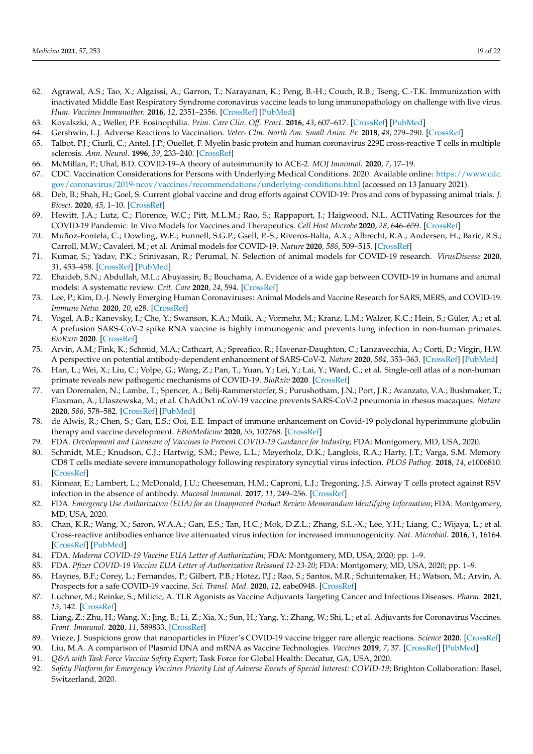- <span id="page-18-0"></span>62. Agrawal, A.S.; Tao, X.; Algaissi, A.; Garron, T.; Narayanan, K.; Peng, B.-H.; Couch, R.B.; Tseng, C.-T.K. Immunization with inactivated Middle East Respiratory Syndrome coronavirus vaccine leads to lung immunopathology on challenge with live virus. *Hum. Vaccines Immunother.* **2016**, *12*, 2351–2356. [\[CrossRef\]](http://doi.org/10.1080/21645515.2016.1177688) [\[PubMed\]](http://www.ncbi.nlm.nih.gov/pubmed/27269431)
- <span id="page-18-1"></span>63. Kovalszki, A.; Weller, P.F. Eosinophilia. *Prim. Care Clin. Off. Pract.* **2016**, *43*, 607–617. [\[CrossRef\]](http://doi.org/10.1016/j.pop.2016.07.010) [\[PubMed\]](http://www.ncbi.nlm.nih.gov/pubmed/27866580)
- <span id="page-18-2"></span>64. Gershwin, L.J. Adverse Reactions to Vaccination. *Veter- Clin. North Am. Small Anim. Pr.* **2018**, *48*, 279–290. [\[CrossRef\]](http://doi.org/10.1016/j.cvsm.2017.10.005)
- <span id="page-18-3"></span>65. Talbot, P.J.; Ciurli, C.; Antel, J.P.; Ouellet, F. Myelin basic protein and human coronavirus 229E cross-reactive T cells in multiple sclerosis. *Ann. Neurol.* **1996**, *39*, 233–240. [\[CrossRef\]](http://doi.org/10.1002/ana.410390213)
- <span id="page-18-4"></span>66. McMillan, P.; Uhal, B.D. COVID-19–A theory of autoimmunity to ACE-2. *MOJ Immunol.* **2020**, *7*, 17–19.
- <span id="page-18-5"></span>67. CDC. Vaccination Considerations for Persons with Underlying Medical Conditions. 2020. Available online: [https://www.cdc.](https://www.cdc.gov/coronavirus/2019-ncov/vaccines/recommendations/underlying-conditions.html) [gov/coronavirus/2019-ncov/vaccines/recommendations/underlying-conditions.html](https://www.cdc.gov/coronavirus/2019-ncov/vaccines/recommendations/underlying-conditions.html) (accessed on 13 January 2021).
- <span id="page-18-6"></span>68. Deb, B.; Shah, H.; Goel, S. Current global vaccine and drug efforts against COVID-19: Pros and cons of bypassing animal trials. *J. Biosci.* **2020**, *45*, 1–10. [\[CrossRef\]](http://doi.org/10.1007/s12038-020-00053-2)
- <span id="page-18-7"></span>69. Hewitt, J.A.; Lutz, C.; Florence, W.C.; Pitt, M.L.M.; Rao, S.; Rappaport, J.; Haigwood, N.L. ACTIVating Resources for the COVID-19 Pandemic: In Vivo Models for Vaccines and Therapeutics. *Cell Host Microbe* **2020**, *28*, 646–659. [\[CrossRef\]](http://doi.org/10.1016/j.chom.2020.09.016)
- <span id="page-18-8"></span>70. Muñoz-Fontela, C.; Dowling, W.E.; Funnell, S.G.P.; Gsell, P.-S.; Riveros-Balta, A.X.; Albrecht, R.A.; Andersen, H.; Baric, R.S.; Carroll, M.W.; Cavaleri, M.; et al. Animal models for COVID-19. *Nature* **2020**, *586*, 509–515. [\[CrossRef\]](http://doi.org/10.1038/s41586-020-2787-6)
- <span id="page-18-9"></span>71. Kumar, S.; Yadav, P.K.; Srinivasan, R.; Perumal, N. Selection of animal models for COVID-19 research. *VirusDisease* **2020**, *31*, 453–458. [\[CrossRef\]](http://doi.org/10.1007/s13337-020-00637-4) [\[PubMed\]](http://www.ncbi.nlm.nih.gov/pubmed/33283030)
- <span id="page-18-10"></span>72. Ehaideb, S.N.; Abdullah, M.L.; Abuyassin, B.; Bouchama, A. Evidence of a wide gap between COVID-19 in humans and animal models: A systematic review. *Crit. Care* **2020**, *24*, 594. [\[CrossRef\]](http://doi.org/10.1186/s13054-020-03304-8)
- <span id="page-18-11"></span>73. Lee, P.; Kim, D.-J. Newly Emerging Human Coronaviruses: Animal Models and Vaccine Research for SARS, MERS, and COVID-19. *Immune Netw.* **2020**, *20*, e28. [\[CrossRef\]](http://doi.org/10.4110/in.2020.20.e28)
- <span id="page-18-12"></span>74. Vogel, A.B.; Kanevsky, I.; Che, Y.; Swanson, K.A.; Muik, A.; Vormehr, M.; Kranz, L.M.; Walzer, K.C.; Hein, S.; Güler, A.; et al. A prefusion SARS-CoV-2 spike RNA vaccine is highly immunogenic and prevents lung infection in non-human primates. *BioRxiv* **2020**. [\[CrossRef\]](http://doi.org/10.1101/2020.09.08.280818)
- <span id="page-18-13"></span>75. Arvin, A.M.; Fink, K.; Schmid, M.A.; Cathcart, A.; Spreafico, R.; Havenar-Daughton, C.; Lanzavecchia, A.; Corti, D.; Virgin, H.W. A perspective on potential antibody-dependent enhancement of SARS-CoV-2. *Nature* **2020**, *584*, 353–363. [\[CrossRef\]](http://doi.org/10.1038/s41586-020-2538-8) [\[PubMed\]](http://www.ncbi.nlm.nih.gov/pubmed/32659783)
- <span id="page-18-14"></span>76. Han, L.; Wei, X.; Liu, C.; Volpe, G.; Wang, Z.; Pan, T.; Yuan, Y.; Lei, Y.; Lai, Y.; Ward, C.; et al. Single-cell atlas of a non-human primate reveals new pathogenic mechanisms of COVID-19. *BioRxiv* **2020**. [\[CrossRef\]](http://doi.org/10.1101/2020.04.10.022103)
- <span id="page-18-15"></span>77. van Doremalen, N.; Lambe, T.; Spencer, A.; Belij-Rammerstorfer, S.; Purushotham, J.N.; Port, J.R.; Avanzato, V.A.; Bushmaker, T.; Flaxman, A.; Ulaszewska, M.; et al. ChAdOx1 nCoV-19 vaccine prevents SARS-CoV-2 pneumonia in rhesus macaques. *Nature* **2020**, *586*, 578–582. [\[CrossRef\]](http://doi.org/10.1038/s41586-020-2608-y) [\[PubMed\]](http://www.ncbi.nlm.nih.gov/pubmed/32731258)
- <span id="page-18-16"></span>78. de Alwis, R.; Chen, S.; Gan, E.S.; Ooi, E.E. Impact of immune enhancement on Covid-19 polyclonal hyperimmune globulin therapy and vaccine development. *EBioMedicine* **2020**, *55*, 102768. [\[CrossRef\]](http://doi.org/10.1016/j.ebiom.2020.102768)
- <span id="page-18-17"></span>79. FDA. *Development and Licensure of Vaccines to Prevent COVID-19 Guidance for Industry*; FDA: Montgomery, MD, USA, 2020.
- <span id="page-18-18"></span>80. Schmidt, M.E.; Knudson, C.J.; Hartwig, S.M.; Pewe, L.L.; Meyerholz, D.K.; Langlois, R.A.; Harty, J.T.; Varga, S.M. Memory CD8 T cells mediate severe immunopathology following respiratory syncytial virus infection. *PLOS Pathog.* **2018**, *14*, e1006810. [\[CrossRef\]](http://doi.org/10.1371/journal.ppat.1006810)
- 81. Kinnear, E.; Lambert, L.; McDonald, J.U.; Cheeseman, H.M.; Caproni, L.J.; Tregoning, J.S. Airway T cells protect against RSV infection in the absence of antibody. *Mucosal Immunol.* **2017**, *11*, 249–256. [\[CrossRef\]](http://doi.org/10.1038/mi.2017.46)
- <span id="page-18-19"></span>82. FDA. *Emergency Use Authorization (EUA) for an Unapproved Product Review Memorandum Identifying Information*; FDA: Montgomery, MD, USA, 2020.
- <span id="page-18-20"></span>83. Chan, K.R.; Wang, X.; Saron, W.A.A.; Gan, E.S.; Tan, H.C.; Mok, D.Z.L.; Zhang, S.L.-X.; Lee, Y.H.; Liang, C.; Wijaya, L.; et al. Cross-reactive antibodies enhance live attenuated virus infection for increased immunogenicity. *Nat. Microbiol.* **2016**, *1*, 16164. [\[CrossRef\]](http://doi.org/10.1038/nmicrobiol.2016.164) [\[PubMed\]](http://www.ncbi.nlm.nih.gov/pubmed/27642668)
- <span id="page-18-21"></span>84. FDA. *Moderna COVID-19 Vaccine EUA Letter of Authorization*; FDA: Montgomery, MD, USA, 2020; pp. 1–9.
- <span id="page-18-22"></span>85. FDA. *Pfizer COVID-19 Vaccine EUA Letter of Authorization Reissued 12-23-20*; FDA: Montgomery, MD, USA, 2020; pp. 1–9.
- <span id="page-18-23"></span>86. Haynes, B.F.; Corey, L.; Fernandes, P.; Gilbert, P.B.; Hotez, P.J.; Rao, S.; Santos, M.R.; Schuitemaker, H.; Watson, M.; Arvin, A. Prospects for a safe COVID-19 vaccine. *Sci. Transl. Med.* **2020**, *12*, eabe0948. [\[CrossRef\]](http://doi.org/10.1126/scitranslmed.abe0948)
- <span id="page-18-24"></span>87. Luchner, M.; Reinke, S.; Milicic, A. TLR Agonists as Vaccine Adjuvants Targeting Cancer and Infectious Diseases. *Pharm.* **2021**, *13*, 142. [\[CrossRef\]](http://doi.org/10.3390/pharmaceutics13020142)
- <span id="page-18-25"></span>88. Liang, Z.; Zhu, H.; Wang, X.; Jing, B.; Li, Z.; Xia, X.; Sun, H.; Yang, Y.; Zhang, W.; Shi, L.; et al. Adjuvants for Coronavirus Vaccines. *Front. Immunol.* **2020**, *11*, 589833. [\[CrossRef\]](http://doi.org/10.3389/fimmu.2020.589833)
- <span id="page-18-26"></span>89. Vrieze, J. Suspicions grow that nanoparticles in Pfizer's COVID-19 vaccine trigger rare allergic reactions. *Science* **2020**. [\[CrossRef\]](http://doi.org/10.1126/science.abg2359)
- <span id="page-18-27"></span>90. Liu, M.A. A comparison of Plasmid DNA and mRNA as Vaccine Technologies. *Vaccines* **2019**, *7*, 37. [\[CrossRef\]](http://doi.org/10.3390/vaccines7020037) [\[PubMed\]](http://www.ncbi.nlm.nih.gov/pubmed/31022829)
- <span id="page-18-28"></span>91. *Q&A with Task Force Vaccine Safety Expert*; Task Force for Global Health: Decatur, GA, USA, 2020.
- <span id="page-18-29"></span>92. *Safety Platform for Emergency Vaccines Priority List of Adverse Events of Special Interest: COVID-19*; Brighton Collaboration: Basel, Switzerland, 2020.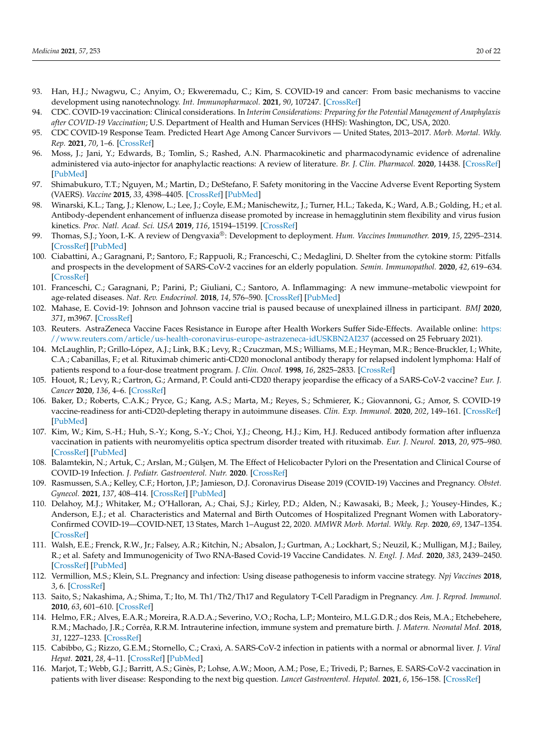- <span id="page-19-0"></span>93. Han, H.J.; Nwagwu, C.; Anyim, O.; Ekweremadu, C.; Kim, S. COVID-19 and cancer: From basic mechanisms to vaccine development using nanotechnology. *Int. Immunopharmacol.* **2021**, *90*, 107247. [\[CrossRef\]](http://doi.org/10.1016/j.intimp.2020.107247)
- <span id="page-19-1"></span>94. CDC. COVID-19 vaccination: Clinical considerations. In *Interim Considerations: Preparing for the Potential Management of Anaphylaxis after COVID-19 Vaccination*; U.S. Department of Health and Human Services (HHS): Washington, DC, USA, 2020.
- <span id="page-19-2"></span>95. CDC COVID-19 Response Team. Predicted Heart Age Among Cancer Survivors — United States, 2013–2017. *Morb. Mortal. Wkly. Rep.* **2021**, *70*, 1–6. [\[CrossRef\]](http://doi.org/10.15585/mmwr.mm7001a1)
- <span id="page-19-3"></span>96. Moss, J.; Jani, Y.; Edwards, B.; Tomlin, S.; Rashed, A.N. Pharmacokinetic and pharmacodynamic evidence of adrenaline administered via auto-injector for anaphylactic reactions: A review of literature. *Br. J. Clin. Pharmacol.* **2020**, 14438. [\[CrossRef\]](http://doi.org/10.1111/bcp.14438) [\[PubMed\]](http://www.ncbi.nlm.nih.gov/pubmed/32559814)
- <span id="page-19-4"></span>97. Shimabukuro, T.T.; Nguyen, M.; Martin, D.; DeStefano, F. Safety monitoring in the Vaccine Adverse Event Reporting System (VAERS). *Vaccine* **2015**, *33*, 4398–4405. [\[CrossRef\]](http://doi.org/10.1016/j.vaccine.2015.07.035) [\[PubMed\]](http://www.ncbi.nlm.nih.gov/pubmed/26209838)
- <span id="page-19-5"></span>98. Winarski, K.L.; Tang, J.; Klenow, L.; Lee, J.; Coyle, E.M.; Manischewitz, J.; Turner, H.L.; Takeda, K.; Ward, A.B.; Golding, H.; et al. Antibody-dependent enhancement of influenza disease promoted by increase in hemagglutinin stem flexibility and virus fusion kinetics. *Proc. Natl. Acad. Sci. USA* **2019**, *116*, 15194–15199. [\[CrossRef\]](http://doi.org/10.1073/pnas.1821317116)
- <span id="page-19-6"></span>99. Thomas, S.J.; Yoon, I.-K. A review of Dengvaxia®: Development to deployment. *Hum. Vaccines Immunother.* **2019**, *15*, 2295–2314. [\[CrossRef\]](http://doi.org/10.1080/21645515.2019.1658503) [\[PubMed\]](http://www.ncbi.nlm.nih.gov/pubmed/31589551)
- <span id="page-19-7"></span>100. Ciabattini, A.; Garagnani, P.; Santoro, F.; Rappuoli, R.; Franceschi, C.; Medaglini, D. Shelter from the cytokine storm: Pitfalls and prospects in the development of SARS-CoV-2 vaccines for an elderly population. *Semin. Immunopathol.* **2020**, *42*, 619–634. [\[CrossRef\]](http://doi.org/10.1007/s00281-020-00821-0)
- <span id="page-19-8"></span>101. Franceschi, C.; Garagnani, P.; Parini, P.; Giuliani, C.; Santoro, A. Inflammaging: A new immune–metabolic viewpoint for age-related diseases. *Nat. Rev. Endocrinol.* **2018**, *14*, 576–590. [\[CrossRef\]](http://doi.org/10.1038/s41574-018-0059-4) [\[PubMed\]](http://www.ncbi.nlm.nih.gov/pubmed/30046148)
- <span id="page-19-9"></span>102. Mahase, E. Covid-19: Johnson and Johnson vaccine trial is paused because of unexplained illness in participant. *BMJ* **2020**, *371*, m3967. [\[CrossRef\]](http://doi.org/10.1136/bmj.m3967)
- <span id="page-19-10"></span>103. Reuters. AstraZeneca Vaccine Faces Resistance in Europe after Health Workers Suffer Side-Effects. Available online: [https:](https://www.reuters.com/article/us-health-coronavirus-europe-astrazeneca-idUSKBN2AI237) [//www.reuters.com/article/us-health-coronavirus-europe-astrazeneca-idUSKBN2AI237](https://www.reuters.com/article/us-health-coronavirus-europe-astrazeneca-idUSKBN2AI237) (accessed on 25 February 2021).
- <span id="page-19-11"></span>104. McLaughlin, P.; Grillo-López, A.J.; Link, B.K.; Levy, R.; Czuczman, M.S.; Williams, M.E.; Heyman, M.R.; Bence-Bruckler, I.; White, C.A.; Cabanillas, F.; et al. Rituximab chimeric anti-CD20 monoclonal antibody therapy for relapsed indolent lymphoma: Half of patients respond to a four-dose treatment program. *J. Clin. Oncol.* **1998**, *16*, 2825–2833. [\[CrossRef\]](http://doi.org/10.1200/JCO.1998.16.8.2825)
- <span id="page-19-12"></span>105. Houot, R.; Levy, R.; Cartron, G.; Armand, P. Could anti-CD20 therapy jeopardise the efficacy of a SARS-CoV-2 vaccine? *Eur. J. Cancer* **2020**, *136*, 4–6. [\[CrossRef\]](http://doi.org/10.1016/j.ejca.2020.06.017)
- <span id="page-19-13"></span>106. Baker, D.; Roberts, C.A.K.; Pryce, G.; Kang, A.S.; Marta, M.; Reyes, S.; Schmierer, K.; Giovannoni, G.; Amor, S. COVID-19 vaccine-readiness for anti-CD20-depleting therapy in autoimmune diseases. *Clin. Exp. Immunol.* **2020**, *202*, 149–161. [\[CrossRef\]](http://doi.org/10.1111/cei.13495) [\[PubMed\]](http://www.ncbi.nlm.nih.gov/pubmed/32671831)
- <span id="page-19-14"></span>107. Kim, W.; Kim, S.-H.; Huh, S.-Y.; Kong, S.-Y.; Choi, Y.J.; Cheong, H.J.; Kim, H.J. Reduced antibody formation after influenza vaccination in patients with neuromyelitis optica spectrum disorder treated with rituximab. *Eur. J. Neurol.* **2013**, *20*, 975–980. [\[CrossRef\]](http://doi.org/10.1111/ene.12132) [\[PubMed\]](http://www.ncbi.nlm.nih.gov/pubmed/23521577)
- <span id="page-19-15"></span>108. Balamtekin, N.; Artuk, C.; Arslan, M.; Gül¸sen, M. The Effect of Helicobacter Pylori on the Presentation and Clinical Course of COVID-19 Infection. *J. Pediatr. Gastroenterol. Nutr.* **2020**. [\[CrossRef\]](http://doi.org/10.1097/MPG.0000000000003005)
- <span id="page-19-16"></span>109. Rasmussen, S.A.; Kelley, C.F.; Horton, J.P.; Jamieson, D.J. Coronavirus Disease 2019 (COVID-19) Vaccines and Pregnancy. *Obstet. Gynecol.* **2021**, *137*, 408–414. [\[CrossRef\]](http://doi.org/10.1097/AOG.0000000000004290) [\[PubMed\]](http://www.ncbi.nlm.nih.gov/pubmed/33370015)
- <span id="page-19-17"></span>110. Delahoy, M.J.; Whitaker, M.; O'Halloran, A.; Chai, S.J.; Kirley, P.D.; Alden, N.; Kawasaki, B.; Meek, J.; Yousey-Hindes, K.; Anderson, E.J.; et al. Characteristics and Maternal and Birth Outcomes of Hospitalized Pregnant Women with Laboratory-Confirmed COVID-19—COVID-NET, 13 States, March 1–August 22, 2020. *MMWR Morb. Mortal. Wkly. Rep.* **2020**, *69*, 1347–1354. [\[CrossRef\]](http://doi.org/10.15585/mmwr.mm6938e1)
- <span id="page-19-18"></span>111. Walsh, E.E.; Frenck, R.W., Jr.; Falsey, A.R.; Kitchin, N.; Absalon, J.; Gurtman, A.; Lockhart, S.; Neuzil, K.; Mulligan, M.J.; Bailey, R.; et al. Safety and Immunogenicity of Two RNA-Based Covid-19 Vaccine Candidates. *N. Engl. J. Med.* **2020**, *383*, 2439–2450. [\[CrossRef\]](http://doi.org/10.1056/NEJMoa2027906) [\[PubMed\]](http://www.ncbi.nlm.nih.gov/pubmed/33053279)
- <span id="page-19-19"></span>112. Vermillion, M.S.; Klein, S.L. Pregnancy and infection: Using disease pathogenesis to inform vaccine strategy. *Npj Vaccines* **2018**, *3*, 6. [\[CrossRef\]](http://doi.org/10.1038/s41541-017-0042-4)
- <span id="page-19-20"></span>113. Saito, S.; Nakashima, A.; Shima, T.; Ito, M. Th1/Th2/Th17 and Regulatory T-Cell Paradigm in Pregnancy. *Am. J. Reprod. Immunol.* **2010**, *63*, 601–610. [\[CrossRef\]](http://doi.org/10.1111/j.1600-0897.2010.00852.x)
- <span id="page-19-21"></span>114. Helmo, F.R.; Alves, E.A.R.; Moreira, R.A.D.A.; Severino, V.O.; Rocha, L.P.; Monteiro, M.L.G.D.R.; dos Reis, M.A.; Etchebehere, R.M.; Machado, J.R.; Corrêa, R.R.M. Intrauterine infection, immune system and premature birth. *J. Matern. Neonatal Med.* **2018**, *31*, 1227–1233. [\[CrossRef\]](http://doi.org/10.1080/14767058.2017.1311318)
- <span id="page-19-22"></span>115. Cabibbo, G.; Rizzo, G.E.M.; Stornello, C.; Craxì, A. SARS-CoV-2 infection in patients with a normal or abnormal liver. *J. Viral Hepat.* **2021**, *28*, 4–11. [\[CrossRef\]](http://doi.org/10.1111/jvh.13440) [\[PubMed\]](http://www.ncbi.nlm.nih.gov/pubmed/33190321)
- <span id="page-19-23"></span>116. Marjot, T.; Webb, G.J.; Barritt, A.S.; Ginès, P.; Lohse, A.W.; Moon, A.M.; Pose, E.; Trivedi, P.; Barnes, E. SARS-CoV-2 vaccination in patients with liver disease: Responding to the next big question. *Lancet Gastroenterol. Hepatol.* **2021**, *6*, 156–158. [\[CrossRef\]](http://doi.org/10.1016/S2468-1253(21)00008-X)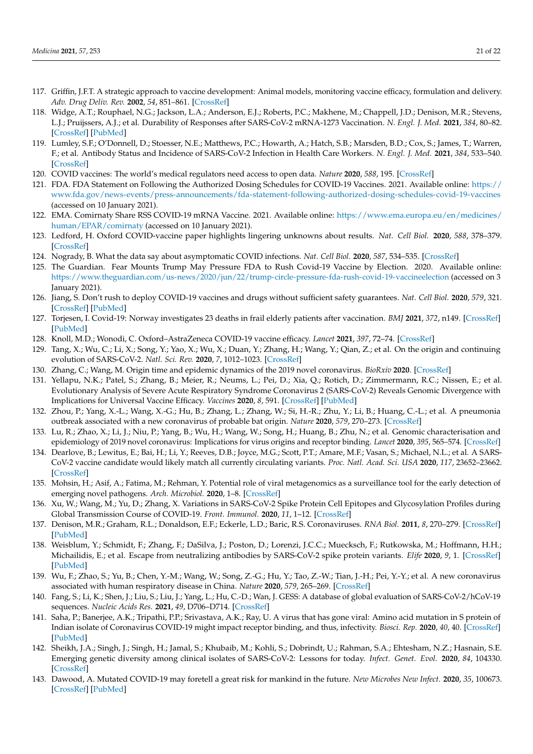- <span id="page-20-0"></span>117. Griffin, J.F.T. A strategic approach to vaccine development: Animal models, monitoring vaccine efficacy, formulation and delivery. *Adv. Drug Deliv. Rev.* **2002**, *54*, 851–861. [\[CrossRef\]](http://doi.org/10.1016/S0169-409X(02)00072-8)
- <span id="page-20-1"></span>118. Widge, A.T.; Rouphael, N.G.; Jackson, L.A.; Anderson, E.J.; Roberts, P.C.; Makhene, M.; Chappell, J.D.; Denison, M.R.; Stevens, L.J.; Pruijssers, A.J.; et al. Durability of Responses after SARS-CoV-2 mRNA-1273 Vaccination. *N. Engl. J. Med.* **2021**, *384*, 80–82. [\[CrossRef\]](http://doi.org/10.1056/NEJMc2032195) [\[PubMed\]](http://www.ncbi.nlm.nih.gov/pubmed/33270381)
- <span id="page-20-2"></span>119. Lumley, S.F.; O'Donnell, D.; Stoesser, N.E.; Matthews, P.C.; Howarth, A.; Hatch, S.B.; Marsden, B.D.; Cox, S.; James, T.; Warren, F.; et al. Antibody Status and Incidence of SARS-CoV-2 Infection in Health Care Workers. *N. Engl. J. Med.* **2021**, *384*, 533–540. [\[CrossRef\]](http://doi.org/10.1056/NEJMoa2034545)
- <span id="page-20-3"></span>120. COVID vaccines: The world's medical regulators need access to open data. *Nature* **2020**, *588*, 195. [\[CrossRef\]](http://doi.org/10.1038/d41586-020-03458-z)
- <span id="page-20-4"></span>121. FDA. FDA Statement on Following the Authorized Dosing Schedules for COVID-19 Vaccines. 2021. Available online: [https://](https://www.fda.gov/news-events/press-announcements/fda-statement-following-authorized-dosing-schedules-covid-19-vaccines) [www.fda.gov/news-events/press-announcements/fda-statement-following-authorized-dosing-schedules-covid-19-vaccines](https://www.fda.gov/news-events/press-announcements/fda-statement-following-authorized-dosing-schedules-covid-19-vaccines) (accessed on 10 January 2021).
- <span id="page-20-5"></span>122. EMA. Comirnaty Share RSS COVID-19 mRNA Vaccine. 2021. Available online: [https://www.ema.europa.eu/en/medicines/](https://www.ema.europa.eu/en/medicines/human/EPAR/comirnaty) [human/EPAR/comirnaty](https://www.ema.europa.eu/en/medicines/human/EPAR/comirnaty) (accessed on 10 January 2021).
- <span id="page-20-6"></span>123. Ledford, H. Oxford COVID-vaccine paper highlights lingering unknowns about results. *Nat. Cell Biol.* **2020**, *588*, 378–379. [\[CrossRef\]](http://doi.org/10.1038/d41586-020-03504-w)
- <span id="page-20-7"></span>124. Nogrady, B. What the data say about asymptomatic COVID infections. *Nat. Cell Biol.* **2020**, *587*, 534–535. [\[CrossRef\]](http://doi.org/10.1038/d41586-020-03141-3)
- <span id="page-20-8"></span>125. The Guardian. Fear Mounts Trump May Pressure FDA to Rush Covid-19 Vaccine by Election. 2020. Available online: <https://www.theguardian.com/us-news/2020/jun/22/trump-circle-pressure-fda-rush-covid-19-vaccineelection> (accessed on 3 January 2021).
- <span id="page-20-9"></span>126. Jiang, S. Don't rush to deploy COVID-19 vaccines and drugs without sufficient safety guarantees. *Nat. Cell Biol.* **2020**, *579*, 321. [\[CrossRef\]](http://doi.org/10.1038/d41586-020-00751-9) [\[PubMed\]](http://www.ncbi.nlm.nih.gov/pubmed/32179860)
- <span id="page-20-10"></span>127. Torjesen, I. Covid-19: Norway investigates 23 deaths in frail elderly patients after vaccination. *BMJ* **2021**, *372*, n149. [\[CrossRef\]](http://doi.org/10.1136/bmj.n149) [\[PubMed\]](http://www.ncbi.nlm.nih.gov/pubmed/33451975)
- <span id="page-20-11"></span>128. Knoll, M.D.; Wonodi, C. Oxford–AstraZeneca COVID-19 vaccine efficacy. *Lancet* **2021**, *397*, 72–74. [\[CrossRef\]](http://doi.org/10.1016/S0140-6736(20)32623-4)
- <span id="page-20-12"></span>129. Tang, X.; Wu, C.; Li, X.; Song, Y.; Yao, X.; Wu, X.; Duan, Y.; Zhang, H.; Wang, Y.; Qian, Z.; et al. On the origin and continuing evolution of SARS-CoV-2. *Natl. Sci. Rev.* **2020**, *7*, 1012–1023. [\[CrossRef\]](http://doi.org/10.1093/nsr/nwaa036)
- <span id="page-20-13"></span>130. Zhang, C.; Wang, M. Origin time and epidemic dynamics of the 2019 novel coronavirus. *BioRxiv* **2020**. [\[CrossRef\]](http://doi.org/10.1101/2020.01.25.919688)
- <span id="page-20-14"></span>131. Yellapu, N.K.; Patel, S.; Zhang, B.; Meier, R.; Neums, L.; Pei, D.; Xia, Q.; Rotich, D.; Zimmermann, R.C.; Nissen, E.; et al. Evolutionary Analysis of Severe Acute Respiratory Syndrome Coronavirus 2 (SARS-CoV-2) Reveals Genomic Divergence with Implications for Universal Vaccine Efficacy. *Vaccines* **2020**, *8*, 591. [\[CrossRef\]](http://doi.org/10.3390/vaccines8040591) [\[PubMed\]](http://www.ncbi.nlm.nih.gov/pubmed/33050053)
- <span id="page-20-15"></span>132. Zhou, P.; Yang, X.-L.; Wang, X.-G.; Hu, B.; Zhang, L.; Zhang, W.; Si, H.-R.; Zhu, Y.; Li, B.; Huang, C.-L.; et al. A pneumonia outbreak associated with a new coronavirus of probable bat origin. *Nature* **2020**, *579*, 270–273. [\[CrossRef\]](http://doi.org/10.1038/s41586-020-2012-7)
- <span id="page-20-16"></span>133. Lu, R.; Zhao, X.; Li, J.; Niu, P.; Yang, B.; Wu, H.; Wang, W.; Song, H.; Huang, B.; Zhu, N.; et al. Genomic characterisation and epidemiology of 2019 novel coronavirus: Implications for virus origins and receptor binding. *Lancet* **2020**, *395*, 565–574. [\[CrossRef\]](http://doi.org/10.1016/S0140-6736(20)30251-8)
- <span id="page-20-17"></span>134. Dearlove, B.; Lewitus, E.; Bai, H.; Li, Y.; Reeves, D.B.; Joyce, M.G.; Scott, P.T.; Amare, M.F.; Vasan, S.; Michael, N.L.; et al. A SARS-CoV-2 vaccine candidate would likely match all currently circulating variants. *Proc. Natl. Acad. Sci. USA* **2020**, *117*, 23652–23662. [\[CrossRef\]](http://doi.org/10.1073/pnas.2008281117)
- <span id="page-20-18"></span>135. Mohsin, H.; Asif, A.; Fatima, M.; Rehman, Y. Potential role of viral metagenomics as a surveillance tool for the early detection of emerging novel pathogens. *Arch. Microbiol.* **2020**, 1–8. [\[CrossRef\]](http://doi.org/10.1007/s00203-020-02105-5)
- <span id="page-20-19"></span>136. Xu, W.; Wang, M.; Yu, D.; Zhang, X. Variations in SARS-CoV-2 Spike Protein Cell Epitopes and Glycosylation Profiles during Global Transmission Course of COVID-19. *Front. Immunol.* **2020**, *11*, 1–12. [\[CrossRef\]](http://doi.org/10.3389/fimmu.2020.565278)
- <span id="page-20-20"></span>137. Denison, M.R.; Graham, R.L.; Donaldson, E.F.; Eckerle, L.D.; Baric, R.S. Coronaviruses. *RNA Biol.* **2011**, *8*, 270–279. [\[CrossRef\]](http://doi.org/10.4161/rna.8.2.15013) [\[PubMed\]](http://www.ncbi.nlm.nih.gov/pubmed/21593585)
- <span id="page-20-21"></span>138. Weisblum, Y.; Schmidt, F.; Zhang, F.; DaSilva, J.; Poston, D.; Lorenzi, J.C.C.; Muecksch, F.; Rutkowska, M.; Hoffmann, H.H.; Michailidis, E.; et al. Escape from neutralizing antibodies by SARS-CoV-2 spike protein variants. *Elife* **2020**, *9*, 1. [\[CrossRef\]](http://doi.org/10.7554/eLife.61312) [\[PubMed\]](http://www.ncbi.nlm.nih.gov/pubmed/33112236)
- <span id="page-20-22"></span>139. Wu, F.; Zhao, S.; Yu, B.; Chen, Y.-M.; Wang, W.; Song, Z.-G.; Hu, Y.; Tao, Z.-W.; Tian, J.-H.; Pei, Y.-Y.; et al. A new coronavirus associated with human respiratory disease in China. *Nature* **2020**, *579*, 265–269. [\[CrossRef\]](http://doi.org/10.1038/s41586-020-2008-3)
- 140. Fang, S.; Li, K.; Shen, J.; Liu, S.; Liu, J.; Yang, L.; Hu, C.-D.; Wan, J. GESS: A database of global evaluation of SARS-CoV-2/hCoV-19 sequences. *Nucleic Acids Res.* **2021**, *49*, D706–D714. [\[CrossRef\]](http://doi.org/10.1093/nar/gkaa808)
- 141. Saha, P.; Banerjee, A.K.; Tripathi, P.P.; Srivastava, A.K.; Ray, U. A virus that has gone viral: Amino acid mutation in S protein of Indian isolate of Coronavirus COVID-19 might impact receptor binding, and thus, infectivity. *Biosci. Rep.* **2020**, *40*, 40. [\[CrossRef\]](http://doi.org/10.1042/BSR20201312) [\[PubMed\]](http://www.ncbi.nlm.nih.gov/pubmed/32378705)
- <span id="page-20-24"></span>142. Sheikh, J.A.; Singh, J.; Singh, H.; Jamal, S.; Khubaib, M.; Kohli, S.; Dobrindt, U.; Rahman, S.A.; Ehtesham, N.Z.; Hasnain, S.E. Emerging genetic diversity among clinical isolates of SARS-CoV-2: Lessons for today. *Infect. Genet. Evol.* **2020**, *84*, 104330. [\[CrossRef\]](http://doi.org/10.1016/j.meegid.2020.104330)
- <span id="page-20-23"></span>143. Dawood, A. Mutated COVID-19 may foretell a great risk for mankind in the future. *New Microbes New Infect.* **2020**, *35*, 100673. [\[CrossRef\]](http://doi.org/10.1016/j.nmni.2020.100673) [\[PubMed\]](http://www.ncbi.nlm.nih.gov/pubmed/32292587)